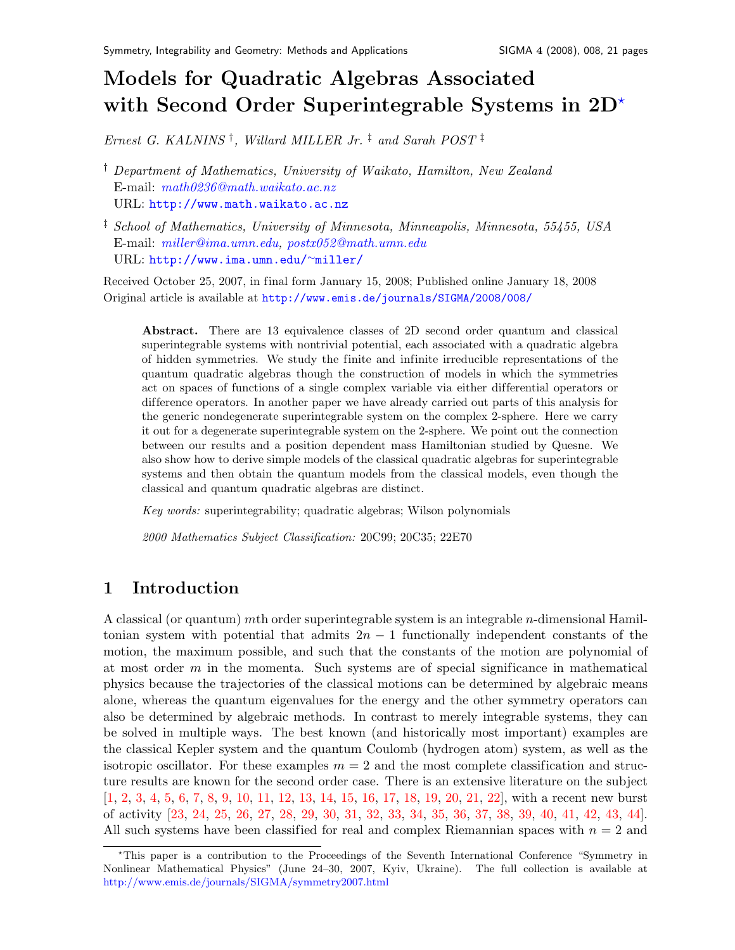# Models for Quadratic Algebras Associated with Second Order Superintegrable Systems in  $2D^*$

Ernest G. KALNINS<sup>†</sup>, Willard MILLER Jr.<sup>‡</sup> and Sarah POST<sup>‡</sup>

† Department of Mathematics, University of Waikato, Hamilton, New Zealand E-mail: [math0236@math.waikato.ac.nz](mailto:math0236@math.waikato.ac.nz) URL: <http://www.math.waikato.ac.nz>

‡ School of Mathematics, University of Minnesota, Minneapolis, Minnesota, 55455, USA E-mail: [miller@ima.umn.edu,](mailto:miller@ima.umn.edu) [postx052@math.umn.edu](mailto:postx052@math.umn.edu) URL: [http://www.ima.umn.edu/](http://www.ima.umn.edu/~miller/)∼miller/

Received October 25, 2007, in final form January 15, 2008; Published online January 18, 2008 Original article is available at <http://www.emis.de/journals/SIGMA/2008/008/>

Abstract. There are 13 equivalence classes of 2D second order quantum and classical superintegrable systems with nontrivial potential, each associated with a quadratic algebra of hidden symmetries. We study the finite and infinite irreducible representations of the quantum quadratic algebras though the construction of models in which the symmetries act on spaces of functions of a single complex variable via either differential operators or dif ference operators. In another paper we have already carried out parts of this analysis for the generic nondegenerate superintegrable system on the complex 2-sphere. Here we carry it out for a degenerate superintegrable system on the 2-sphere. We point out the connection between our results and a position dependent mass Hamiltonian studied by Quesne. We also show how to derive simple models of the classical quadratic algebras for superintegrable systems and then obtain the quantum models from the classical models, even though the classical and quantum quadratic algebras are distinct.

Key words: superintegrability; quadratic algebras; Wilson polynomials

2000 Mathematics Subject Classification: 20C99; 20C35; 22E70

## 1 Introduction

A classical (or quantum) mth order superintegrable system is an integrable  $n$ -dimensional Hamiltonian system with potential that admits  $2n - 1$  functionally independent constants of the motion, the maximum possible, and such that the constants of the motion are polynomial of at most order  $m$  in the momenta. Such systems are of special significance in mathematical physics because the trajectories of the classical motions can be determined by algebraic means alone, whereas the quantum eigenvalues for the energy and the other symmetry operators can also be determined by algebraic methods. In contrast to merely integrable systems, they can be solved in multiple ways. The best known (and historically most important) examples are the classical Kepler system and the quantum Coulomb (hydrogen atom) system, as well as the isotropic oscillator. For these examples  $m = 2$  and the most complete classification and structure results are known for the second order case. There is an extensive literature on the subject [\[1,](#page-18-0) [2,](#page-18-1) [3,](#page-18-2) [4,](#page-18-3) [5,](#page-18-4) [6,](#page-18-5) [7,](#page-18-6) [8,](#page-18-7) [9,](#page-18-8) [10,](#page-18-9) [11,](#page-18-10) [12,](#page-18-11) [13,](#page-18-12) [14,](#page-19-0) [15,](#page-19-1) [16,](#page-19-2) [17,](#page-19-3) [18,](#page-19-4) [19,](#page-19-5) [20,](#page-19-6) [21,](#page-19-7) [22\]](#page-19-8), with a recent new burst of activity [\[23,](#page-19-9) [24,](#page-19-10) [25,](#page-19-11) [26,](#page-19-12) [27,](#page-19-13) [28,](#page-19-14) [29,](#page-19-15) [30,](#page-19-16) [31,](#page-19-17) [32,](#page-19-18) [33,](#page-19-19) [34,](#page-19-20) [35,](#page-19-21) [36,](#page-19-22) [37,](#page-19-23) [38,](#page-19-24) [39,](#page-20-0) [40,](#page-20-1) [41,](#page-20-2) [42,](#page-20-3) [43,](#page-20-4) [44\]](#page-20-5). All such systems have been classified for real and complex Riemannian spaces with  $n = 2$  and

<span id="page-0-0"></span><sup>?</sup>This paper is a contribution to the Proceedings of the Seventh International Conference "Symmetry in Nonlinear Mathematical Physics" (June 24–30, 2007, Kyiv, Ukraine). The full collection is available at <http://www.emis.de/journals/SIGMA/symmetry2007.html>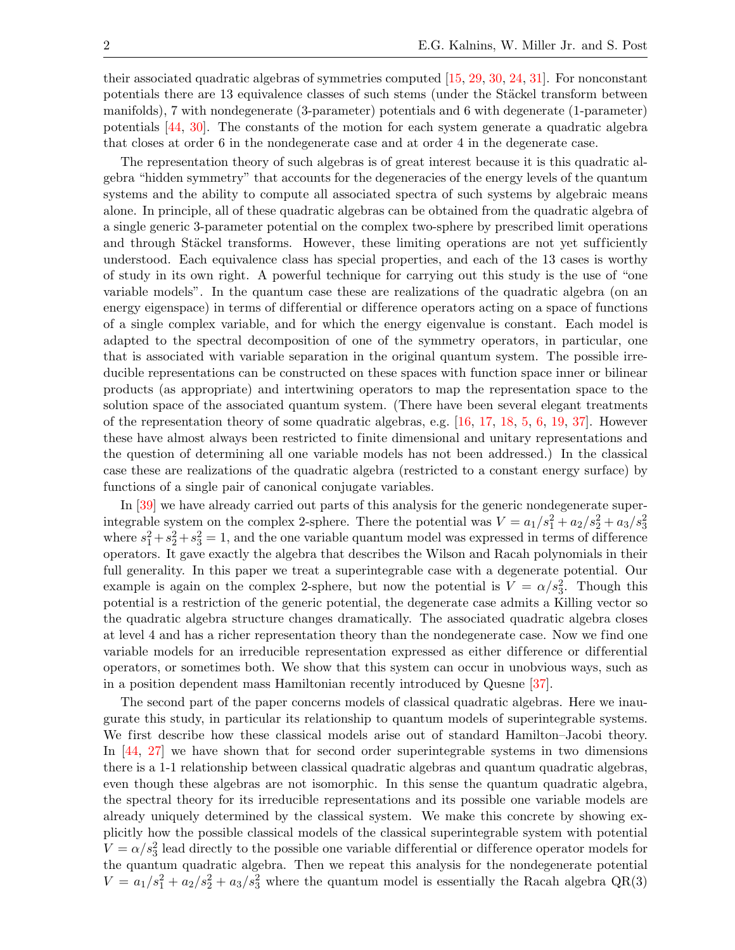their associated quadratic algebras of symmetries computed [\[15,](#page-19-1) [29,](#page-19-15) [30,](#page-19-16) [24,](#page-19-10) [31\]](#page-19-17). For nonconstant potentials there are 13 equivalence classes of such stems (under the Stäckel transform between manifolds), 7 with nondegenerate (3-parameter) potentials and 6 with degenerate (1-parameter) potentials [\[44,](#page-20-5) [30\]](#page-19-16). The constants of the motion for each system generate a quadratic algebra that closes at order 6 in the nondegenerate case and at order 4 in the degenerate case.

The representation theory of such algebras is of great interest because it is this quadratic algebra "hidden symmetry" that accounts for the degeneracies of the energy levels of the quantum systems and the ability to compute all associated spectra of such systems by algebraic means alone. In principle, all of these quadratic algebras can be obtained from the quadratic algebra of a single generic 3-parameter potential on the complex two-sphere by prescribed limit operations and through Stäckel transforms. However, these limiting operations are not yet sufficiently understood. Each equivalence class has special properties, and each of the 13 cases is worthy of study in its own right. A powerful technique for carrying out this study is the use of "one variable models". In the quantum case these are realizations of the quadratic algebra (on an energy eigenspace) in terms of differential or difference operators acting on a space of functions of a single complex variable, and for which the energy eigenvalue is constant. Each model is adapted to the spectral decomposition of one of the symmetry operators, in particular, one that is associated with variable separation in the original quantum system. The possible irreducible representations can be constructed on these spaces with function space inner or bilinear products (as appropriate) and intertwining operators to map the representation space to the solution space of the associated quantum system. (There have been several elegant treatments of the representation theory of some quadratic algebras, e.g. [\[16,](#page-19-2) [17,](#page-19-3) [18,](#page-19-4) [5,](#page-18-4) [6,](#page-18-5) [19,](#page-19-5) [37\]](#page-19-23). However these have almost always been restricted to finite dimensional and unitary representations and the question of determining all one variable models has not been addressed.) In the classical case these are realizations of the quadratic algebra (restricted to a constant energy surface) by functions of a single pair of canonical conjugate variables.

In [\[39\]](#page-20-0) we have already carried out parts of this analysis for the generic nondegenerate superintegrable system on the complex 2-sphere. There the potential was  $V = a_1/s_1^2 + a_2/s_2^2 + a_3/s_3^2$ where  $s_1^2 + s_2^2 + s_3^2 = 1$ , and the one variable quantum model was expressed in terms of difference operators. It gave exactly the algebra that describes the Wilson and Racah polynomials in their full generality. In this paper we treat a superintegrable case with a degenerate potential. Our example is again on the complex 2-sphere, but now the potential is  $V = \alpha/s_3^2$ . Though this potential is a restriction of the generic potential, the degenerate case admits a Killing vector so the quadratic algebra structure changes dramatically. The associated quadratic algebra closes at level 4 and has a richer representation theory than the nondegenerate case. Now we find one variable models for an irreducible representation expressed as either dif ference or dif ferential operators, or sometimes both. We show that this system can occur in unobvious ways, such as in a position dependent mass Hamiltonian recently introduced by Quesne [\[37\]](#page-19-23).

The second part of the paper concerns models of classical quadratic algebras. Here we inaugurate this study, in particular its relationship to quantum models of superintegrable systems. We first describe how these classical models arise out of standard Hamilton–Jacobi theory. In [\[44,](#page-20-5) [27\]](#page-19-13) we have shown that for second order superintegrable systems in two dimensions there is a 1-1 relationship between classical quadratic algebras and quantum quadratic algebras, even though these algebras are not isomorphic. In this sense the quantum quadratic algebra, the spectral theory for its irreducible representations and its possible one variable models are already uniquely determined by the classical system. We make this concrete by showing explicitly how the possible classical models of the classical superintegrable system with potential  $V = \alpha/s_3^2$  lead directly to the possible one variable differential or difference operator models for the quantum quadratic algebra. Then we repeat this analysis for the nondegenerate potential  $V = a_1/s_1^2 + a_2/s_2^2 + a_3/s_3^2$  where the quantum model is essentially the Racah algebra QR(3)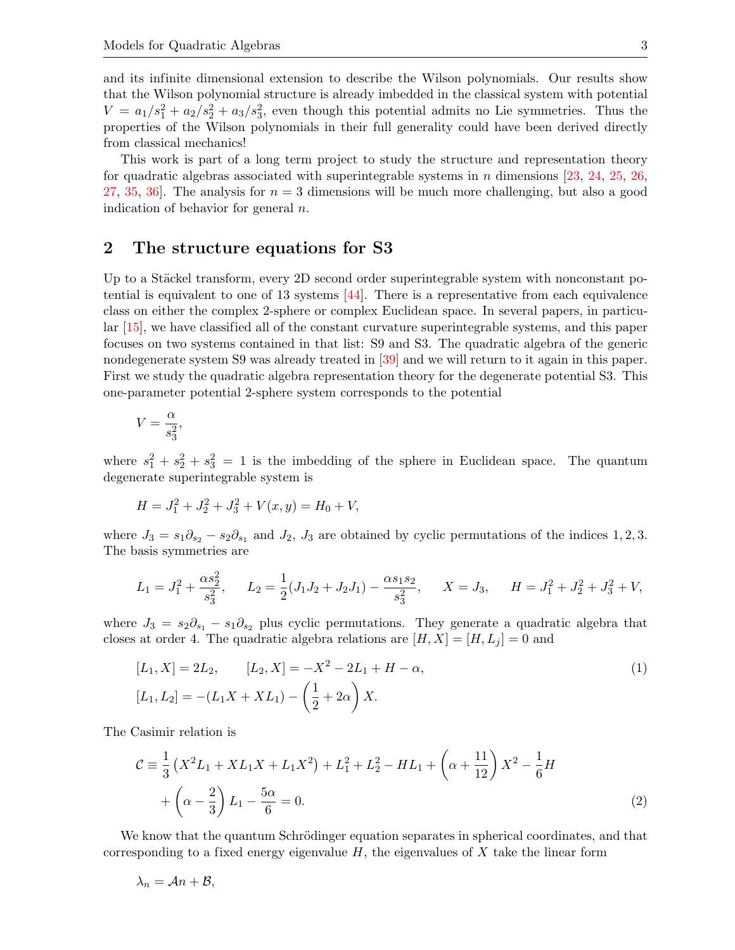and its infinite dimensional extension to describe the Wilson polynomials. Our results show that the Wilson polynomial structure is already imbedded in the classical system with potential  $V = a_1/s_1^2 + a_2/s_2^2 + a_3/s_3^2$ , even though this potential admits no Lie symmetries. Thus the properties of the Wilson polynomials in their full generality could have been derived directly from classical mechanics!

This work is part of a long term project to study the structure and representation theory for quadratic algebras associated with superintegrable systems in n dimensions [\[23,](#page-19-9) [24,](#page-19-10) [25,](#page-19-11) [26,](#page-19-12) [27,](#page-19-13) [35,](#page-19-21) 36. The analysis for  $n = 3$  dimensions will be much more challenging, but also a good indication of behavior for general  $n$ .

## 2 The structure equations for S3

Up to a Stäckel transform, every  $2D$  second order superintegrable system with nonconstant potential is equivalent to one of 13 systems  $[44]$ . There is a representative from each equivalence class on either the complex 2-sphere or complex Euclidean space. In several papers, in particular [\[15\]](#page-19-1), we have classified all of the constant curvature superintegrable systems, and this paper focuses on two systems contained in that list: S9 and S3. The quadratic algebra of the generic nondegenerate system S9 was already treated in [\[39\]](#page-20-0) and we will return to it again in this paper. First we study the quadratic algebra representation theory for the degenerate potential S3. This one-parameter potential 2-sphere system corresponds to the potential

$$
V = \frac{\alpha}{s_3^2},
$$

where  $s_1^2 + s_2^2 + s_3^2 = 1$  is the imbedding of the sphere in Euclidean space. The quantum degenerate superintegrable system is

$$
H = J_1^2 + J_2^2 + J_3^2 + V(x, y) = H_0 + V,
$$

where  $J_3 = s_1 \partial_{s_2} - s_2 \partial_{s_1}$  and  $J_2$ ,  $J_3$  are obtained by cyclic permutations of the indices 1, 2, 3. The basis symmetries are

$$
L_1 = J_1^2 + \frac{\alpha s_2^2}{s_3^2}, \qquad L_2 = \frac{1}{2}(J_1J_2 + J_2J_1) - \frac{\alpha s_1 s_2}{s_3^2}, \qquad X = J_3, \qquad H = J_1^2 + J_2^2 + J_3^2 + V,
$$

where  $J_3 = s_2\partial_{s_1} - s_1\partial_{s_2}$  plus cyclic permutations. They generate a quadratic algebra that closes at order 4. The quadratic algebra relations are  $[H, X] = [H, L_j] = 0$  and

<span id="page-2-0"></span>
$$
[L_1, X] = 2L_2, \qquad [L_2, X] = -X^2 - 2L_1 + H - \alpha,
$$
  

$$
[L_1, L_2] = -(L_1X + XL_1) - \left(\frac{1}{2} + 2\alpha\right)X.
$$
 (1)

The Casimir relation is

<span id="page-2-1"></span>
$$
\mathcal{C} \equiv \frac{1}{3} \left( X^2 L_1 + X L_1 X + L_1 X^2 \right) + L_1^2 + L_2^2 - H L_1 + \left( \alpha + \frac{11}{12} \right) X^2 - \frac{1}{6} H
$$
  
+  $\left( \alpha - \frac{2}{3} \right) L_1 - \frac{5\alpha}{6} = 0.$  (2)

We know that the quantum Schrödinger equation separates in spherical coordinates, and that corresponding to a fixed energy eigenvalue  $H$ , the eigenvalues of X take the linear form

$$
\lambda_n = \mathcal{A}n + \mathcal{B},
$$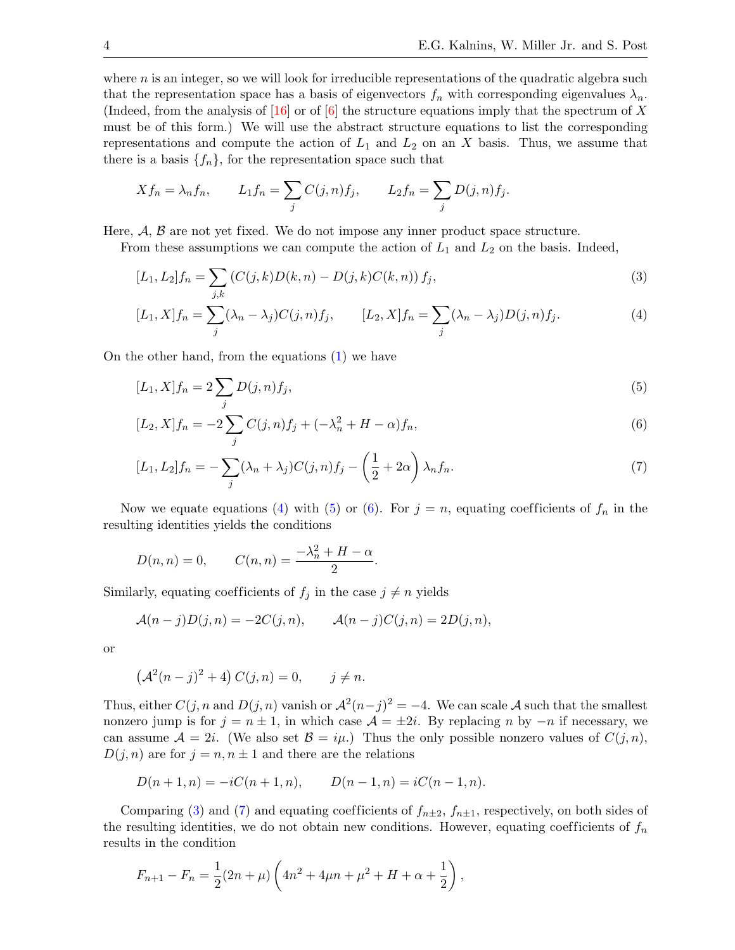where  $n$  is an integer, so we will look for irreducible representations of the quadratic algebra such that the representation space has a basis of eigenvectors  $f_n$  with corresponding eigenvalues  $\lambda_n$ . (Indeed, from the analysis of  $[16]$  or of  $[6]$  the structure equations imply that the spectrum of X must be of this form.) We will use the abstract structure equations to list the corresponding representations and compute the action of  $L_1$  and  $L_2$  on an X basis. Thus, we assume that there is a basis  $\{f_n\}$ , for the representation space such that

$$
Xf_n = \lambda_n f_n
$$
,  $L_1 f_n = \sum_j C(j, n) f_j$ ,  $L_2 f_n = \sum_j D(j, n) f_j$ .

Here,  $A, B$  are not yet fixed. We do not impose any inner product space structure.

From these assumptions we can compute the action of  $L_1$  and  $L_2$  on the basis. Indeed,

<span id="page-3-3"></span>
$$
[L_1, L_2]f_n = \sum_{j,k} \left( C(j,k)D(k,n) - D(j,k)C(k,n) \right) f_j,\tag{3}
$$

<span id="page-3-0"></span>
$$
[L_1, X]f_n = \sum_j (\lambda_n - \lambda_j)C(j, n)f_j, \qquad [L_2, X]f_n = \sum_j (\lambda_n - \lambda_j)D(j, n)f_j.
$$
\n
$$
(4)
$$

On the other hand, from the equations [\(1\)](#page-2-0) we have

<span id="page-3-2"></span><span id="page-3-1"></span>
$$
[L_1, X]f_n = 2\sum_j D(j, n)f_j,\tag{5}
$$

$$
[L_2, X]f_n = -2\sum_j C(j, n)f_j + (-\lambda_n^2 + H - \alpha)f_n,
$$
\n(6)

<span id="page-3-4"></span>
$$
[L_1, L_2]f_n = -\sum_j (\lambda_n + \lambda_j)C(j, n)f_j - \left(\frac{1}{2} + 2\alpha\right)\lambda_n f_n.
$$
\n<sup>(7)</sup>

Now we equate equations [\(4\)](#page-3-0) with [\(5\)](#page-3-1) or [\(6\)](#page-3-2). For  $j = n$ , equating coefficients of  $f_n$  in the resulting identities yields the conditions

$$
D(n, n) = 0,
$$
  $C(n, n) = \frac{-\lambda_n^2 + H - \alpha}{2}.$ 

Similarly, equating coefficients of  $f_j$  in the case  $j \neq n$  yields

$$
\mathcal{A}(n-j)D(j,n) = -2C(j,n), \qquad \mathcal{A}(n-j)C(j,n) = 2D(j,n),
$$

or

$$
(A^2(n-j)^2 + 4) C(j, n) = 0, \quad j \neq n.
$$

Thus, either  $C(j, n \text{ and } D(j, n)$  vanish or  $\mathcal{A}^2(n-j)^2 = -4$ . We can scale A such that the smallest nonzero jump is for  $j = n \pm 1$ , in which case  $\mathcal{A} = \pm 2i$ . By replacing n by  $-n$  if necessary, we can assume  $A = 2i$ . (We also set  $B = i\mu$ .) Thus the only possible nonzero values of  $C(j, n)$ ,  $D(j, n)$  are for  $j = n, n \pm 1$  and there are the relations

$$
D(n+1,n) = -iC(n+1,n), \qquad D(n-1,n) = iC(n-1,n).
$$

Comparing [\(3\)](#page-3-3) and [\(7\)](#page-3-4) and equating coefficients of  $f_{n\pm 2}$ ,  $f_{n\pm 1}$ , respectively, on both sides of the resulting identities, we do not obtain new conditions. However, equating coefficients of  $f_n$ results in the condition

$$
F_{n+1} - F_n = \frac{1}{2}(2n+\mu)\left(4n^2 + 4\mu n + \mu^2 + H + \alpha + \frac{1}{2}\right),\,
$$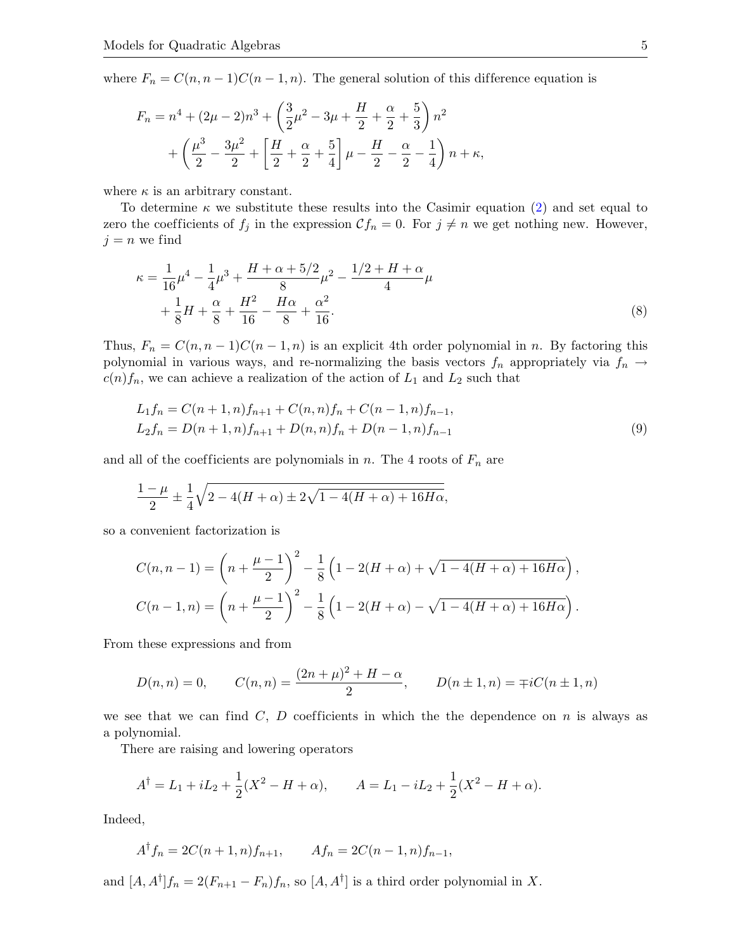where  $F_n = C(n, n-1)C(n-1, n)$ . The general solution of this difference equation is

$$
F_n = n^4 + (2\mu - 2)n^3 + \left(\frac{3}{2}\mu^2 - 3\mu + \frac{H}{2} + \frac{\alpha}{2} + \frac{5}{3}\right)n^2
$$
  
+ 
$$
\left(\frac{\mu^3}{2} - \frac{3\mu^2}{2} + \left[\frac{H}{2} + \frac{\alpha}{2} + \frac{5}{4}\right]\mu - \frac{H}{2} - \frac{\alpha}{2} - \frac{1}{4}\right)n + \kappa,
$$

where  $\kappa$  is an arbitrary constant.

To determine  $\kappa$  we substitute these results into the Casimir equation [\(2\)](#page-2-1) and set equal to zero the coefficients of  $f_j$  in the expression  $\mathcal{C}f_n = 0$ . For  $j \neq n$  we get nothing new. However,  $j = n$  we find

<span id="page-4-1"></span>
$$
\kappa = \frac{1}{16}\mu^4 - \frac{1}{4}\mu^3 + \frac{H + \alpha + 5/2}{8}\mu^2 - \frac{1/2 + H + \alpha}{4}\mu
$$
  
+ 
$$
\frac{1}{8}H + \frac{\alpha}{8} + \frac{H^2}{16} - \frac{H\alpha}{8} + \frac{\alpha^2}{16}.
$$
 (8)

Thus,  $F_n = C(n, n-1)C(n-1, n)$  is an explicit 4th order polynomial in n. By factoring this polynomial in various ways, and re-normalizing the basis vectors  $f_n$  appropriately via  $f_n \rightarrow$  $c(n)f_n$ , we can achieve a realization of the action of  $L_1$  and  $L_2$  such that

<span id="page-4-0"></span>
$$
L_1 f_n = C(n+1,n) f_{n+1} + C(n,n) f_n + C(n-1,n) f_{n-1},
$$
  
\n
$$
L_2 f_n = D(n+1,n) f_{n+1} + D(n,n) f_n + D(n-1,n) f_{n-1}
$$
\n(9)

and all of the coefficients are polynomials in n. The 4 roots of  $F_n$  are

$$
\frac{1-\mu}{2} \pm \frac{1}{4}\sqrt{2 - 4(H+\alpha) \pm 2\sqrt{1 - 4(H+\alpha) + 16H\alpha}},
$$

so a convenient factorization is

$$
C(n, n-1) = \left(n + \frac{\mu - 1}{2}\right)^2 - \frac{1}{8}\left(1 - 2(H + \alpha) + \sqrt{1 - 4(H + \alpha) + 16H\alpha}\right),
$$
  

$$
C(n-1, n) = \left(n + \frac{\mu - 1}{2}\right)^2 - \frac{1}{8}\left(1 - 2(H + \alpha) - \sqrt{1 - 4(H + \alpha) + 16H\alpha}\right).
$$

From these expressions and from

$$
D(n, n) = 0, \qquad C(n, n) = \frac{(2n + \mu)^2 + H - \alpha}{2}, \qquad D(n \pm 1, n) = \mp iC(n \pm 1, n)
$$

we see that we can find C, D coefficients in which the the dependence on  $n$  is always as a polynomial.

There are raising and lowering operators

$$
A^{\dagger} = L_1 + iL_2 + \frac{1}{2}(X^2 - H + \alpha), \qquad A = L_1 - iL_2 + \frac{1}{2}(X^2 - H + \alpha).
$$

Indeed,

$$
A^{\dagger} f_n = 2C(n+1,n)f_{n+1}, \qquad Af_n = 2C(n-1,n)f_{n-1},
$$

and  $[A, A^{\dagger}]f_n = 2(F_{n+1} - F_n)f_n$ , so  $[A, A^{\dagger}]$  is a third order polynomial in X.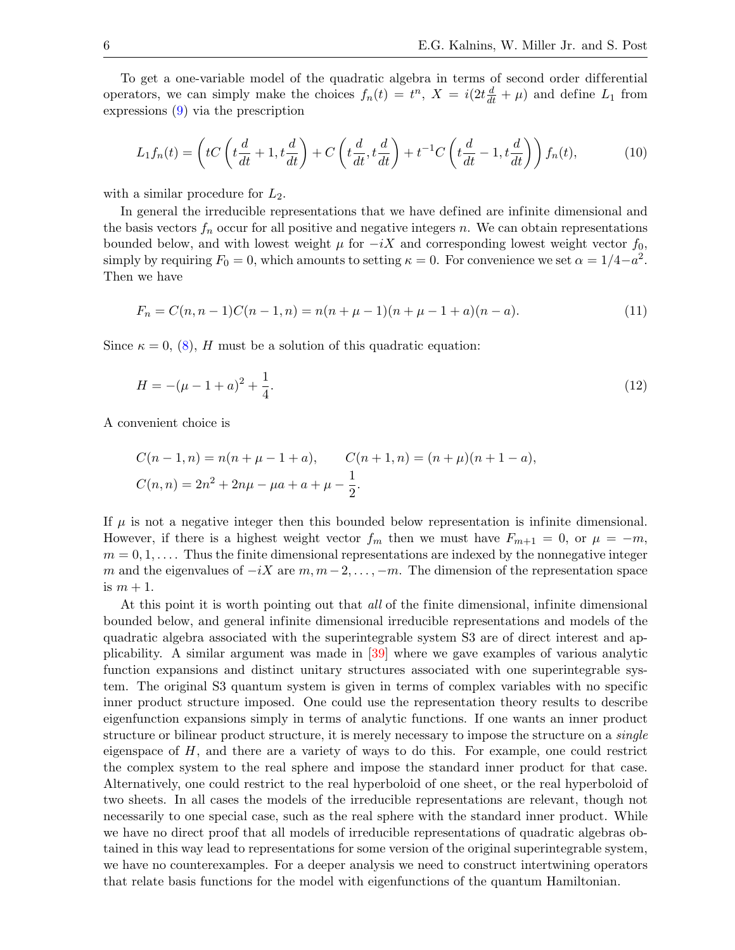To get a one-variable model of the quadratic algebra in terms of second order differential operators, we can simply make the choices  $f_n(t) = t^n$ ,  $X = i(2t \frac{d}{dt} + \mu)$  and define  $L_1$  from expressions [\(9\)](#page-4-0) via the prescription

<span id="page-5-0"></span>
$$
L_1 f_n(t) = \left( tC \left( t\frac{d}{dt} + 1, t\frac{d}{dt} \right) + C \left( t\frac{d}{dt}, t\frac{d}{dt} \right) + t^{-1}C \left( t\frac{d}{dt} - 1, t\frac{d}{dt} \right) \right) f_n(t),\tag{10}
$$

with a similar procedure for  $L_2$ .

In general the irreducible representations that we have defined are infinite dimensional and the basis vectors  $f_n$  occur for all positive and negative integers n. We can obtain representations bounded below, and with lowest weight  $\mu$  for  $-iX$  and corresponding lowest weight vector  $f_0$ , simply by requiring  $F_0 = 0$ , which amounts to setting  $\kappa = 0$ . For convenience we set  $\alpha = 1/4 - a^2$ . Then we have

<span id="page-5-2"></span><span id="page-5-1"></span>
$$
F_n = C(n, n-1)C(n-1, n) = n(n + \mu - 1)(n + \mu - 1 + a)(n - a). \tag{11}
$$

Since  $\kappa = 0$ , [\(8\)](#page-4-1), H must be a solution of this quadratic equation:

$$
H = -(\mu - 1 + a)^2 + \frac{1}{4}.\tag{12}
$$

A convenient choice is

$$
C(n-1,n) = n(n+\mu-1+a), \qquad C(n+1,n) = (n+\mu)(n+1-a),
$$
  

$$
C(n,n) = 2n^2 + 2n\mu - \mu a + a + \mu - \frac{1}{2}.
$$

If  $\mu$  is not a negative integer then this bounded below representation is infinite dimensional. However, if there is a highest weight vector  $f_m$  then we must have  $F_{m+1} = 0$ , or  $\mu = -m$ ,  $m = 0, 1, \ldots$ . Thus the finite dimensional representations are indexed by the nonnegative integer m and the eigenvalues of  $-iX$  are  $m, m-2, \ldots, -m$ . The dimension of the representation space is  $m + 1$ .

At this point it is worth pointing out that *all* of the finite dimensional, infinite dimensional bounded below, and general infinite dimensional irreducible representations and models of the quadratic algebra associated with the superintegrable system S3 are of direct interest and applicability. A similar argument was made in [\[39\]](#page-20-0) where we gave examples of various analytic function expansions and distinct unitary structures associated with one superintegrable system. The original S3 quantum system is given in terms of complex variables with no specific inner product structure imposed. One could use the representation theory results to describe eigenfunction expansions simply in terms of analytic functions. If one wants an inner product structure or bilinear product structure, it is merely necessary to impose the structure on a *single* eigenspace of  $H$ , and there are a variety of ways to do this. For example, one could restrict the complex system to the real sphere and impose the standard inner product for that case. Alternatively, one could restrict to the real hyperboloid of one sheet, or the real hyperboloid of two sheets. In all cases the models of the irreducible representations are relevant, though not necessarily to one special case, such as the real sphere with the standard inner product. While we have no direct proof that all models of irreducible representations of quadratic algebras obtained in this way lead to representations for some version of the original superintegrable system, we have no counterexamples. For a deeper analysis we need to construct intertwining operators that relate basis functions for the model with eigenfunctions of the quantum Hamiltonian.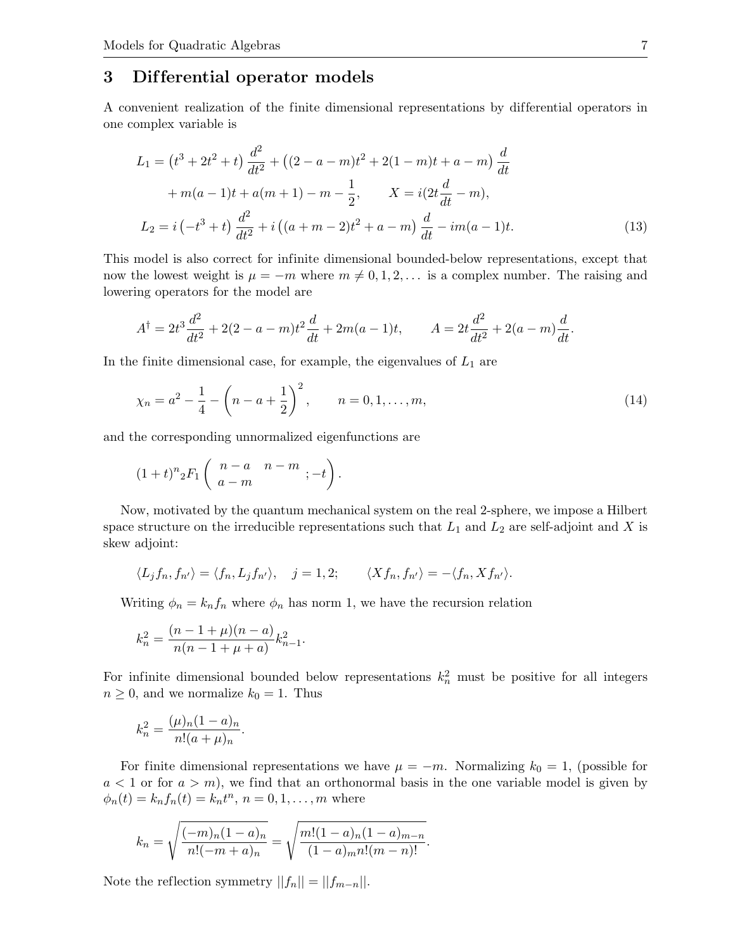## 3 Dif ferential operator models

A convenient realization of the finite dimensional representations by dif ferential operators in one complex variable is

<span id="page-6-1"></span>
$$
L_1 = (t^3 + 2t^2 + t) \frac{d^2}{dt^2} + ((2 - a - m)t^2 + 2(1 - m)t + a - m) \frac{d}{dt}
$$
  
+  $m(a - 1)t + a(m + 1) - m - \frac{1}{2}, \qquad X = i(2t \frac{d}{dt} - m),$   

$$
L_2 = i(-t^3 + t) \frac{d^2}{dt^2} + i((a + m - 2)t^2 + a - m) \frac{d}{dt} - im(a - 1)t.
$$
 (13)

This model is also correct for infinite dimensional bounded-below representations, except that now the lowest weight is  $\mu = -m$  where  $m \neq 0, 1, 2, \ldots$  is a complex number. The raising and lowering operators for the model are

$$
A^{\dagger} = 2t^3 \frac{d^2}{dt^2} + 2(2 - a - m)t^2 \frac{d}{dt} + 2m(a - 1)t, \qquad A = 2t \frac{d^2}{dt^2} + 2(a - m)\frac{d}{dt}.
$$

In the finite dimensional case, for example, the eigenvalues of  $L_1$  are

<span id="page-6-0"></span>
$$
\chi_n = a^2 - \frac{1}{4} - \left(n - a + \frac{1}{2}\right)^2, \qquad n = 0, 1, \dots, m,
$$
\n(14)

and the corresponding unnormalized eigenfunctions are

$$
(1+t)^n {}_2F_1\left( \begin{array}{cc} n-a & n-m \\ a-m & \end{array}; -t \right).
$$

Now, motivated by the quantum mechanical system on the real 2-sphere, we impose a Hilbert space structure on the irreducible representations such that  $L_1$  and  $L_2$  are self-adjoint and X is skew adjoint:

$$
\langle L_j f_n, f_{n'} \rangle = \langle f_n, L_j f_{n'} \rangle, \quad j = 1, 2; \qquad \langle X f_n, f_{n'} \rangle = -\langle f_n, X f_{n'} \rangle.
$$

Writing  $\phi_n = k_n f_n$  where  $\phi_n$  has norm 1, we have the recursion relation

$$
k_n^2 = \frac{(n-1+\mu)(n-a)}{n(n-1+\mu+a)}k_{n-1}^2.
$$

For infinite dimensional bounded below representations  $k_n^2$  must be positive for all integers  $n \geq 0$ , and we normalize  $k_0 = 1$ . Thus

$$
k_n^2 = \frac{(\mu)_n (1 - a)_n}{n! (a + \mu)_n}.
$$

For finite dimensional representations we have  $\mu = -m$ . Normalizing  $k_0 = 1$ , (possible for  $a < 1$  or for  $a > m$ , we find that an orthonormal basis in the one variable model is given by  $\phi_n(t) = k_n f_n(t) = k_n t^n, n = 0, 1, ..., m$  where

$$
k_n = \sqrt{\frac{(-m)_n (1-a)_n}{n! (-m+a)_n}} = \sqrt{\frac{m!(1-a)_n (1-a)_{m-n}}{(1-a)_m n! (m-n)!}}.
$$

Note the reflection symmetry  $||f_n|| = ||f_{m-n}||$ .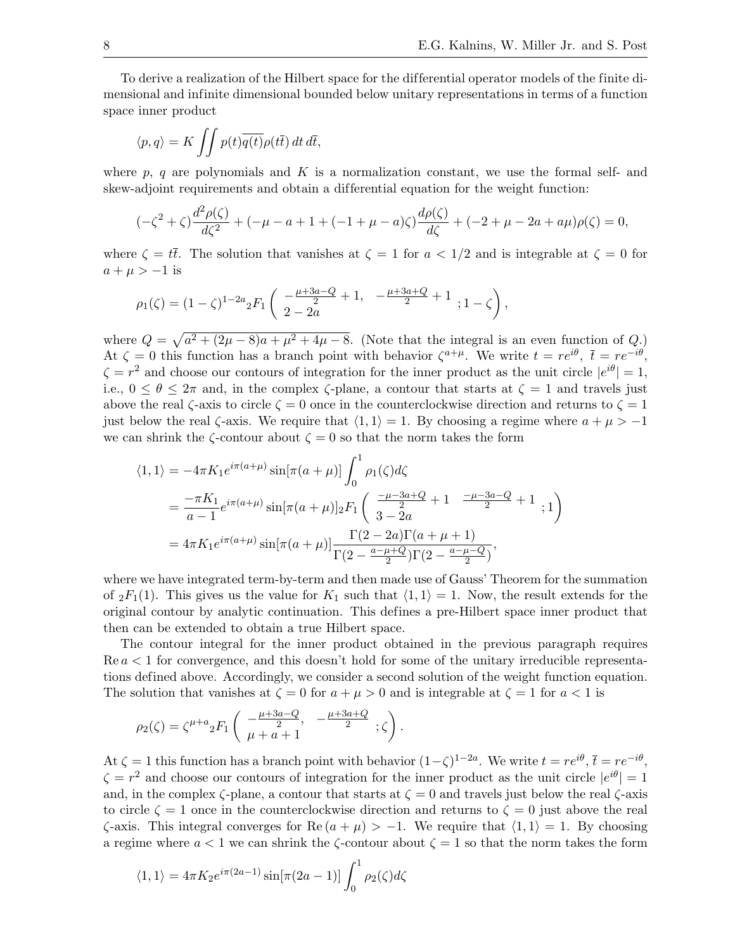To derive a realization of the Hilbert space for the dif ferential operator models of the finite dimensional and infinite dimensional bounded below unitary representations in terms of a function space inner product

$$
\langle p, q \rangle = K \iint p(t) \overline{q(t)} \rho(t\overline{t}) dt d\overline{t},
$$

where p, q are polynomials and K is a normalization constant, we use the formal self- and skew-adjoint requirements and obtain a differential equation for the weight function:

$$
(-\zeta^2 + \zeta) \frac{d^2 \rho(\zeta)}{d\zeta^2} + (-\mu - a + 1 + (-1 + \mu - a)\zeta) \frac{d\rho(\zeta)}{d\zeta} + (-2 + \mu - 2a + a\mu)\rho(\zeta) = 0,
$$

where  $\zeta = t\bar{t}$ . The solution that vanishes at  $\zeta = 1$  for  $a < 1/2$  and is integrable at  $\zeta = 0$  for  $a + \mu > -1$  is

$$
\rho_1(\zeta) = (1 - \zeta)^{1 - 2a} {}_2F_1 \left( \frac{-\frac{\mu + 3a - Q}{2} + 1}{2 - 2a} + \frac{-\frac{\mu + 3a + Q}{2} + 1}{2}, 1 - \zeta \right),
$$

where  $Q = \sqrt{a^2 + (2\mu - 8)a + \mu^2 + 4\mu - 8}$ . (Note that the integral is an even function of Q.) At  $\zeta = 0$  this function has a branch point with behavior  $\zeta^{a+\mu}$ . We write  $t = re^{i\theta}$ ,  $\bar{t} = re^{-i\theta}$ ,  $\zeta = r^2$  and choose our contours of integration for the inner product as the unit circle  $|e^{i\theta}| = 1$ , i.e.,  $0 \le \theta \le 2\pi$  and, in the complex  $\zeta$ -plane, a contour that starts at  $\zeta = 1$  and travels just above the real  $\zeta$ -axis to circle  $\zeta = 0$  once in the counterclockwise direction and returns to  $\zeta = 1$ just below the real  $\zeta$ -axis. We require that  $\langle 1, 1 \rangle = 1$ . By choosing a regime where  $a + \mu > -1$ we can shrink the  $\zeta$ -contour about  $\zeta = 0$  so that the norm takes the form

$$
\langle 1, 1 \rangle = -4\pi K_1 e^{i\pi(a+\mu)} \sin[\pi(a+\mu)] \int_0^1 \rho_1(\zeta) d\zeta
$$
  
= 
$$
\frac{-\pi K_1}{a-1} e^{i\pi(a+\mu)} \sin[\pi(a+\mu)]_2 F_1 \left( \frac{-\mu-3a+Q}{3-2a} + 1 \right. \frac{-\mu-3a-Q}{2} + 1 ; 1 \right)
$$
  
= 
$$
4\pi K_1 e^{i\pi(a+\mu)} \sin[\pi(a+\mu)] \frac{\Gamma(2-2a)\Gamma(a+\mu+1)}{\Gamma(2-\frac{a-\mu+Q}{2})\Gamma(2-\frac{a-\mu-Q}{2})},
$$

where we have integrated term-by-term and then made use of Gauss' Theorem for the summation of  ${}_2F_1(1)$ . This gives us the value for  $K_1$  such that  $\langle 1, 1 \rangle = 1$ . Now, the result extends for the original contour by analytic continuation. This defines a pre-Hilbert space inner product that then can be extended to obtain a true Hilbert space.

The contour integral for the inner product obtained in the previous paragraph requires  $\text{Re } a < 1$  for convergence, and this doesn't hold for some of the unitary irreducible representations defined above. Accordingly, we consider a second solution of the weight function equation. The solution that vanishes at  $\zeta = 0$  for  $a + \mu > 0$  and is integrable at  $\zeta = 1$  for  $a < 1$  is

$$
\rho_2(\zeta) = \zeta^{\mu+a} {}_2F_1 \left( \begin{array}{cc} -\frac{\mu+3a-Q}{2}, & -\frac{\mu+3a+Q}{2} \\ \mu+a+1 \end{array}; \zeta \right).
$$

At  $\zeta = 1$  this function has a branch point with behavior  $(1-\zeta)^{1-2a}$ . We write  $t = re^{i\theta}$ ,  $\bar{t} = re^{-i\theta}$ ,  $\zeta = r^2$  and choose our contours of integration for the inner product as the unit circle  $|e^{i\theta}| = 1$ and, in the complex  $\zeta$ -plane, a contour that starts at  $\zeta = 0$  and travels just below the real  $\zeta$ -axis to circle  $\zeta = 1$  once in the counterclockwise direction and returns to  $\zeta = 0$  just above the real  $\zeta$ -axis. This integral converges for Re  $(a + \mu) > -1$ . We require that  $\langle 1, 1 \rangle = 1$ . By choosing a regime where  $a < 1$  we can shrink the  $\zeta$ -contour about  $\zeta = 1$  so that the norm takes the form

$$
\langle 1, 1 \rangle = 4\pi K_2 e^{i\pi (2a-1)} \sin[\pi (2a-1)] \int_0^1 \rho_2(\zeta) d\zeta
$$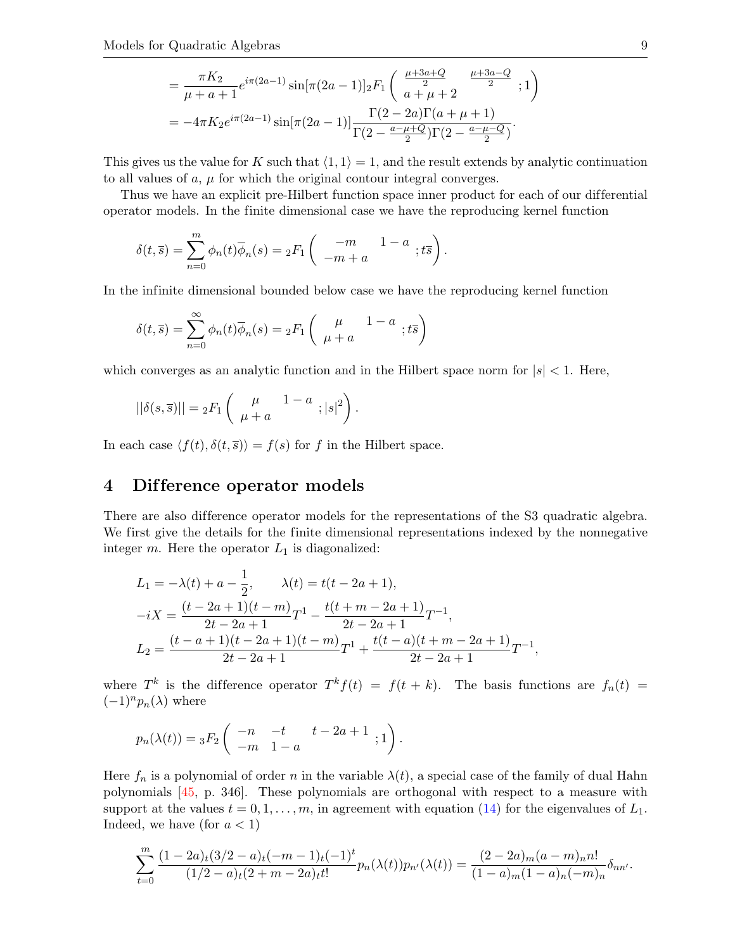$$
= \frac{\pi K_2}{\mu + a + 1} e^{i\pi(2a-1)} \sin[\pi(2a-1)]_2 F_1 \left( \frac{\mu + 3a + Q}{2} \frac{\mu + 3a - Q}{2} ; 1 \right)
$$
  
= 
$$
-4\pi K_2 e^{i\pi(2a-1)} \sin[\pi(2a-1)] \frac{\Gamma(2-2a)\Gamma(a+\mu+1)}{\Gamma(2-\frac{a-\mu+Q}{2})\Gamma(2-\frac{a-\mu-Q}{2})}.
$$

This gives us the value for K such that  $\langle 1, 1 \rangle = 1$ , and the result extends by analytic continuation to all values of  $a, \mu$  for which the original contour integral converges.

Thus we have an explicit pre-Hilbert function space inner product for each of our dif ferential operator models. In the finite dimensional case we have the reproducing kernel function

$$
\delta(t,\overline{s}) = \sum_{n=0}^{m} \phi_n(t)\overline{\phi}_n(s) = {}_2F_1\left( \begin{array}{cc} -m & 1-a \\ -m+a \end{array}; t\overline{s} \right).
$$

In the infinite dimensional bounded below case we have the reproducing kernel function

$$
\delta(t,\overline{s}) = \sum_{n=0}^{\infty} \phi_n(t)\overline{\phi}_n(s) = {}_2F_1\left( \begin{array}{cc} \mu & 1-a \\ \mu+a & \end{array}; t\overline{s} \right)
$$

which converges as an analytic function and in the Hilbert space norm for  $|s| < 1$ . Here,

$$
||\delta(s,\overline{s})|| = {}_2F_1\left(\begin{array}{cc} \mu & 1-a \\ \mu+a & \end{array}; |s|^2\right).
$$

In each case  $\langle f(t), \delta(t, \overline{s}) \rangle = f(s)$  for f in the Hilbert space.

#### 4 Dif ference operator models

There are also difference operator models for the representations of the S3 quadratic algebra. We first give the details for the finite dimensional representations indexed by the nonnegative integer  $m$ . Here the operator  $L_1$  is diagonalized:

$$
L_1 = -\lambda(t) + a - \frac{1}{2}, \qquad \lambda(t) = t(t - 2a + 1),
$$
  

$$
-iX = \frac{(t - 2a + 1)(t - m)}{2t - 2a + 1}T^1 - \frac{t(t + m - 2a + 1)}{2t - 2a + 1}T^{-1},
$$
  

$$
L_2 = \frac{(t - a + 1)(t - 2a + 1)(t - m)}{2t - 2a + 1}T^1 + \frac{t(t - a)(t + m - 2a + 1)}{2t - 2a + 1}T^{-1},
$$

where T<sup>k</sup> is the difference operator  $T^k f(t) = f(t + k)$ . The basis functions are  $f_n(t) =$  $(-1)^n p_n(\lambda)$  where

$$
p_n(\lambda(t)) = {}_3F_2 \begin{pmatrix} -n & -t & t - 2a + 1 \\ -m & 1 - a \end{pmatrix}.
$$

Here  $f_n$  is a polynomial of order n in the variable  $\lambda(t)$ , a special case of the family of dual Hahn polynomials [\[45,](#page-20-6) p. 346]. These polynomials are orthogonal with respect to a measure with support at the values  $t = 0, 1, \ldots, m$ , in agreement with equation [\(14\)](#page-6-0) for the eigenvalues of  $L_1$ . Indeed, we have (for  $a < 1$ )

$$
\sum_{t=0}^{m} \frac{(1-2a)_t(3/2-a)_t(-m-1)_t(-1)^t}{(1/2-a)_t(2+m-2a)_t t!} p_n(\lambda(t))p_{n'}(\lambda(t)) = \frac{(2-2a)_m(a-m)_n n!}{(1-a)_m(1-a)_n(-m)_n} \delta_{nn'}.
$$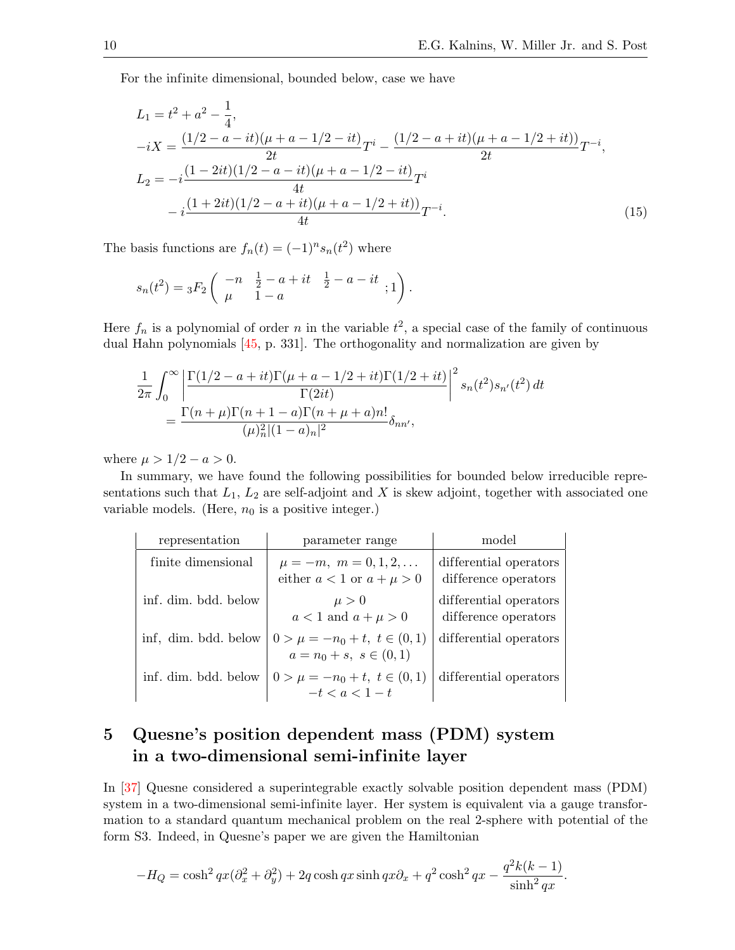For the infinite dimensional, bounded below, case we have

$$
L_1 = t^2 + a^2 - \frac{1}{4},
$$
  
\n
$$
-iX = \frac{(1/2 - a - it)(\mu + a - 1/2 - it)}{2t}T^i - \frac{(1/2 - a + it)(\mu + a - 1/2 + it)}{2t}T^{-i},
$$
  
\n
$$
L_2 = -i\frac{(1 - 2it)(1/2 - a - it)(\mu + a - 1/2 - it)}{4t}T^i
$$
  
\n
$$
-i\frac{(1 + 2it)(1/2 - a + it)(\mu + a - 1/2 + it)}{4t}T^{-i}.
$$
\n(15)

The basis functions are  $f_n(t) = (-1)^n s_n(t^2)$  where

<span id="page-9-0"></span>
$$
s_n(t^2) = {}_3F_2 \left( \begin{array}{rrr} -n & \frac{1}{2} - a + it & \frac{1}{2} - a - it \\ \mu & 1 - a & \end{array}; 1 \right).
$$

Here  $f_n$  is a polynomial of order n in the variable  $t^2$ , a special case of the family of continuous dual Hahn polynomials [\[45,](#page-20-6) p. 331]. The orthogonality and normalization are given by

$$
\frac{1}{2\pi} \int_0^{\infty} \left| \frac{\Gamma(1/2 - a + it)\Gamma(\mu + a - 1/2 + it)\Gamma(1/2 + it)}{\Gamma(2it)} \right|^2 s_n(t^2) s_{n'}(t^2) dt
$$

$$
= \frac{\Gamma(n + \mu)\Gamma(n + 1 - a)\Gamma(n + \mu + a)n!}{(\mu)_n^2 |(1 - a)_n|^2} \delta_{nn'},
$$

where  $\mu > 1/2 - a > 0$ .

In summary, we have found the following possibilities for bounded below irreducible representations such that  $L_1$ ,  $L_2$  are self-adjoint and X is skew adjoint, together with associated one variable models. (Here,  $n_0$  is a positive integer.)

| representation       | parameter range                                                   | model                                          |
|----------------------|-------------------------------------------------------------------|------------------------------------------------|
| finite dimensional   | $\mu = -m, m = 0, 1, 2, \dots$<br>either $a < 1$ or $a + \mu > 0$ | differential operators<br>difference operators |
| inf. dim. bdd. below | $\mu > 0$<br>$a < 1$ and $a + \mu > 0$                            | differential operators<br>difference operators |
| inf, dim. bdd. below | $0 > \mu = -n_0 + t, t \in (0,1)$<br>$a = n_0 + s, s \in (0, 1)$  | differential operators                         |
| inf. dim. bdd. below | $0 > \mu = -n_0 + t, t \in (0,1)$<br>$-t < a < 1-t$               | differential operators                         |

## 5 Quesne's position dependent mass (PDM) system in a two-dimensional semi-infinite layer

In [\[37\]](#page-19-23) Quesne considered a superintegrable exactly solvable position dependent mass (PDM) system in a two-dimensional semi-infinite layer. Her system is equivalent via a gauge transformation to a standard quantum mechanical problem on the real 2-sphere with potential of the form S3. Indeed, in Quesne's paper we are given the Hamiltonian

$$
-H_Q = \cosh^2 qx(\partial_x^2 + \partial_y^2) + 2q \cosh qx \sinh qx \partial_x + q^2 \cosh^2 qx - \frac{q^2k(k-1)}{\sinh^2 qx}.
$$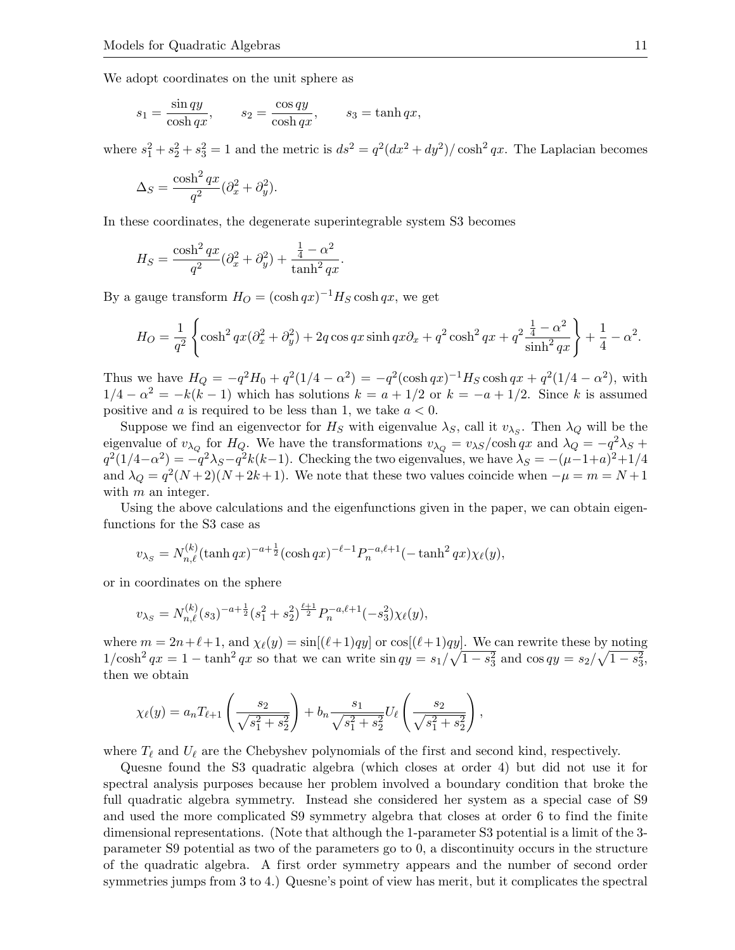We adopt coordinates on the unit sphere as

$$
s_1 = \frac{\sin qy}{\cosh qx},
$$
  $s_2 = \frac{\cos qy}{\cosh qx},$   $s_3 = \tanh qx,$ 

where  $s_1^2 + s_2^2 + s_3^2 = 1$  and the metric is  $ds^2 = q^2(dx^2 + dy^2)/\cosh^2 qx$ . The Laplacian becomes

$$
\Delta_S = \frac{\cosh^2 qx}{q^2} (\partial_x^2 + \partial_y^2).
$$

In these coordinates, the degenerate superintegrable system S3 becomes

$$
H_S = \frac{\cosh^2 qx}{q^2} (\partial_x^2 + \partial_y^2) + \frac{\frac{1}{4} - \alpha^2}{\tanh^2 qx}.
$$

By a gauge transform  $H_O = (\cosh qx)^{-1} H_S \cosh qx$ , we get

$$
H_O = \frac{1}{q^2} \left\{ \cosh^2 qx (\partial_x^2 + \partial_y^2) + 2q \cos qx \sinh qx \partial_x + q^2 \cosh^2 qx + q^2 \frac{\frac{1}{4} - \alpha^2}{\sinh^2 qx} \right\} + \frac{1}{4} - \alpha^2.
$$

Thus we have  $H_Q = -q^2H_0 + q^2(1/4 - \alpha^2) = -q^2(\cosh qx)^{-1}H_S \cosh qx + q^2(1/4 - \alpha^2)$ , with  $1/4 - \alpha^2 = -k(k-1)$  which has solutions  $k = a + 1/2$  or  $k = -a + 1/2$ . Since k is assumed positive and a is required to be less than 1, we take  $a < 0$ .

Suppose we find an eigenvector for  $H_S$  with eigenvalue  $\lambda_S$ , call it  $v_{\lambda_S}$ . Then  $\lambda_Q$  will be the eigenvalue of  $v_{\lambda_Q}$  for  $H_Q$ . We have the transformations  $v_{\lambda_Q} = v_{\lambda S}/\cosh qx$  and  $\lambda_Q = -q^2 \lambda_S +$  $q^2(1/4-\alpha^2) = -q^2\lambda_S - q^2k(k-1)$ . Checking the two eigenvalues, we have  $\lambda_S = -(\mu-1+a)^2+1/4$ and  $\lambda_Q = q^2(N+2)(N+2k+1)$ . We note that these two values coincide when  $-\mu = m = N+1$ with  $m$  an integer.

Using the above calculations and the eigenfunctions given in the paper, we can obtain eigenfunctions for the S3 case as

$$
v_{\lambda_S} = N_{n,\ell}^{(k)}(\tanh qx)^{-a+\frac{1}{2}}(\cosh qx)^{-\ell-1} P_n^{-a,\ell+1}(-\tanh^2 qx)\chi_{\ell}(y),
$$

or in coordinates on the sphere

$$
v_{\lambda_S} = N_{n,\ell}^{(k)}(s_3)^{-a+\frac{1}{2}}(s_1^2+s_2^2)^{\frac{\ell+1}{2}} P_n^{-a,\ell+1}(-s_3^2)\chi_{\ell}(y),
$$

where  $m = 2n+\ell+1$ , and  $\chi_{\ell}(y) = \sin[(\ell+1)qy]$  or  $\cos[(\ell+1)qy]$ . We can rewrite these by noting  $1/\cosh^2 qx = 1 - \tanh^2 qx$  so that we can write  $\sin qy = s_1/\sqrt{1-s_3^2}$  and  $\cos qy = s_2/\sqrt{1-s_3^2}$ , then we obtain

$$
\chi_{\ell}(y) = a_n T_{\ell+1} \left( \frac{s_2}{\sqrt{s_1^2 + s_2^2}} \right) + b_n \frac{s_1}{\sqrt{s_1^2 + s_2^2}} U_{\ell} \left( \frac{s_2}{\sqrt{s_1^2 + s_2^2}} \right),
$$

where  $T_{\ell}$  and  $U_{\ell}$  are the Chebyshev polynomials of the first and second kind, respectively.

Quesne found the S3 quadratic algebra (which closes at order 4) but did not use it for spectral analysis purposes because her problem involved a boundary condition that broke the full quadratic algebra symmetry. Instead she considered her system as a special case of S9 and used the more complicated S9 symmetry algebra that closes at order 6 to find the finite dimensional representations. (Note that although the 1-parameter S3 potential is a limit of the 3 parameter S9 potential as two of the parameters go to 0, a discontinuity occurs in the structure of the quadratic algebra. A first order symmetry appears and the number of second order symmetries jumps from 3 to 4.) Quesne's point of view has merit, but it complicates the spectral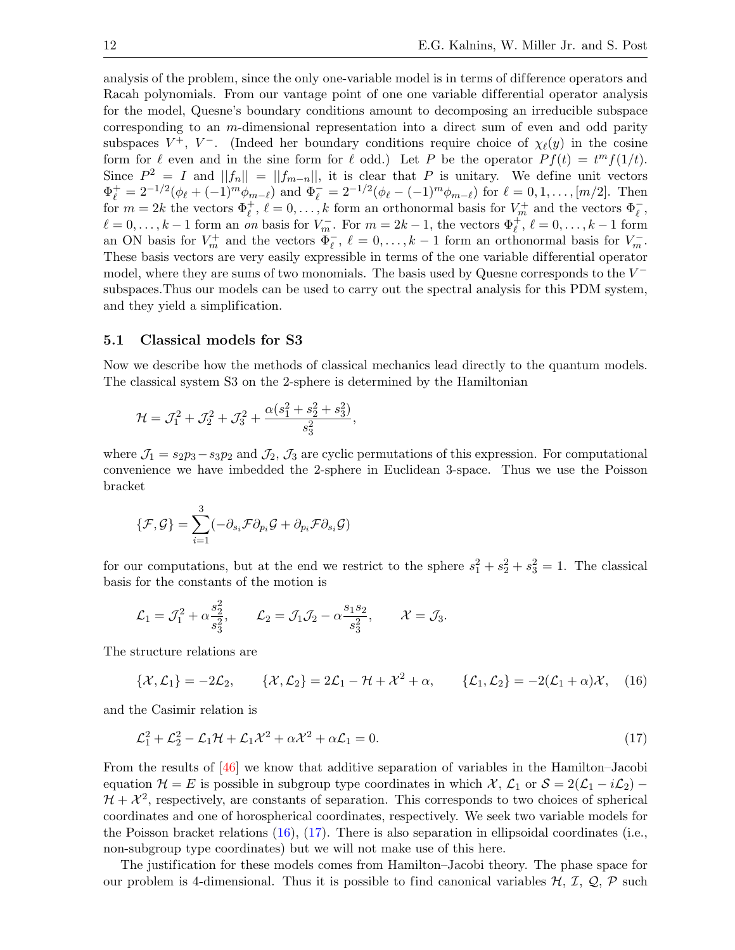analysis of the problem, since the only one-variable model is in terms of dif ference operators and Racah polynomials. From our vantage point of one one variable differential operator analysis for the model, Quesne's boundary conditions amount to decomposing an irreducible subspace corresponding to an  $m$ -dimensional representation into a direct sum of even and odd parity subspaces  $V^+$ ,  $V^-$ . (Indeed her boundary conditions require choice of  $\chi_{\ell}(y)$  in the cosine form for  $\ell$  even and in the sine form for  $\ell$  odd.) Let P be the operator  $P f(t) = t<sup>m</sup> f(1/t)$ . Since  $P^2 = I$  and  $||f_n|| = ||f_{m-n}||$ , it is clear that P is unitary. We define unit vectors  $\Phi_{\ell}^{+} = 2^{-1/2}(\phi_{\ell} + (-1)^{m} \phi_{m-\ell})$  and  $\Phi_{\ell}^{-} = 2^{-1/2}(\phi_{\ell} - (-1)^{m} \phi_{m-\ell})$  for  $\ell = 0, 1, ..., [m/2]$ . Then for  $m = 2k$  the vectors  $\Phi_{\ell}^+, \ell = 0, \ldots, k$  form an orthonormal basis for  $V_m^+$  and the vectors  $\Phi_{\ell}^-$ ,  $\ell = 0, \ldots, k - 1$  form an on basis for  $V_m^-$ . For  $m = 2k - 1$ , the vectors  $\Phi_{\ell}^+, \ell = 0, \ldots, k - 1$  form an ON basis for  $V_m^+$  and the vectors  $\overline{\Phi}_{\ell}^-$ ,  $\ell = 0, \ldots, k-1$  form an orthonormal basis for  $V_m^-$ . These basis vectors are very easily expressible in terms of the one variable differential operator model, where they are sums of two monomials. The basis used by Quesne corresponds to the  $V^$ subspaces.Thus our models can be used to carry out the spectral analysis for this PDM system, and they yield a simplification.

#### 5.1 Classical models for S3

Now we describe how the methods of classical mechanics lead directly to the quantum models. The classical system S3 on the 2-sphere is determined by the Hamiltonian

$$
\mathcal{H} = \mathcal{J}_1^2 + \mathcal{J}_2^2 + \mathcal{J}_3^2 + \frac{\alpha(s_1^2 + s_2^2 + s_3^2)}{s_3^2},
$$

where  $\mathcal{J}_1 = s_2 p_3 - s_3 p_2$  and  $\mathcal{J}_2$ ,  $\mathcal{J}_3$  are cyclic permutations of this expression. For computational convenience we have imbedded the 2-sphere in Euclidean 3-space. Thus we use the Poisson bracket

$$
\{\mathcal{F},\mathcal{G}\}=\sum_{i=1}^3(-\partial_{s_i}\mathcal{F}\partial_{p_i}\mathcal{G}+\partial_{p_i}\mathcal{F}\partial_{s_i}\mathcal{G})
$$

for our computations, but at the end we restrict to the sphere  $s_1^2 + s_2^2 + s_3^2 = 1$ . The classical basis for the constants of the motion is

$$
\mathcal{L}_1 = \mathcal{J}_1^2 + \alpha \frac{s_2^2}{s_3^2}, \qquad \mathcal{L}_2 = \mathcal{J}_1 \mathcal{J}_2 - \alpha \frac{s_1 s_2}{s_3^2}, \qquad \mathcal{X} = \mathcal{J}_3.
$$

The structure relations are

<span id="page-11-0"></span>
$$
\{\mathcal{X},\mathcal{L}_1\}=-2\mathcal{L}_2,\qquad \{\mathcal{X},\mathcal{L}_2\}=2\mathcal{L}_1-\mathcal{H}+\mathcal{X}^2+\alpha,\qquad \{\mathcal{L}_1,\mathcal{L}_2\}=-2(\mathcal{L}_1+\alpha)\mathcal{X},\quad (16)
$$

and the Casimir relation is

<span id="page-11-1"></span>
$$
\mathcal{L}_1^2 + \mathcal{L}_2^2 - \mathcal{L}_1 \mathcal{H} + \mathcal{L}_1 \mathcal{X}^2 + \alpha \mathcal{X}^2 + \alpha \mathcal{L}_1 = 0. \tag{17}
$$

From the results of [\[46\]](#page-20-7) we know that additive separation of variables in the Hamilton–Jacobi equation  $\mathcal{H} = E$  is possible in subgroup type coordinates in which  $\mathcal{X}, \mathcal{L}_1$  or  $\mathcal{S} = 2(\mathcal{L}_1 - i\mathcal{L}_2)$  $\mathcal{H} + \mathcal{X}^2$ , respectively, are constants of separation. This corresponds to two choices of spherical coordinates and one of horospherical coordinates, respectively. We seek two variable models for the Poisson bracket relations  $(16)$ ,  $(17)$ . There is also separation in ellipsoidal coordinates (i.e., non-subgroup type coordinates) but we will not make use of this here.

The justification for these models comes from Hamilton–Jacobi theory. The phase space for our problem is 4-dimensional. Thus it is possible to find canonical variables  $H, I, Q, P$  such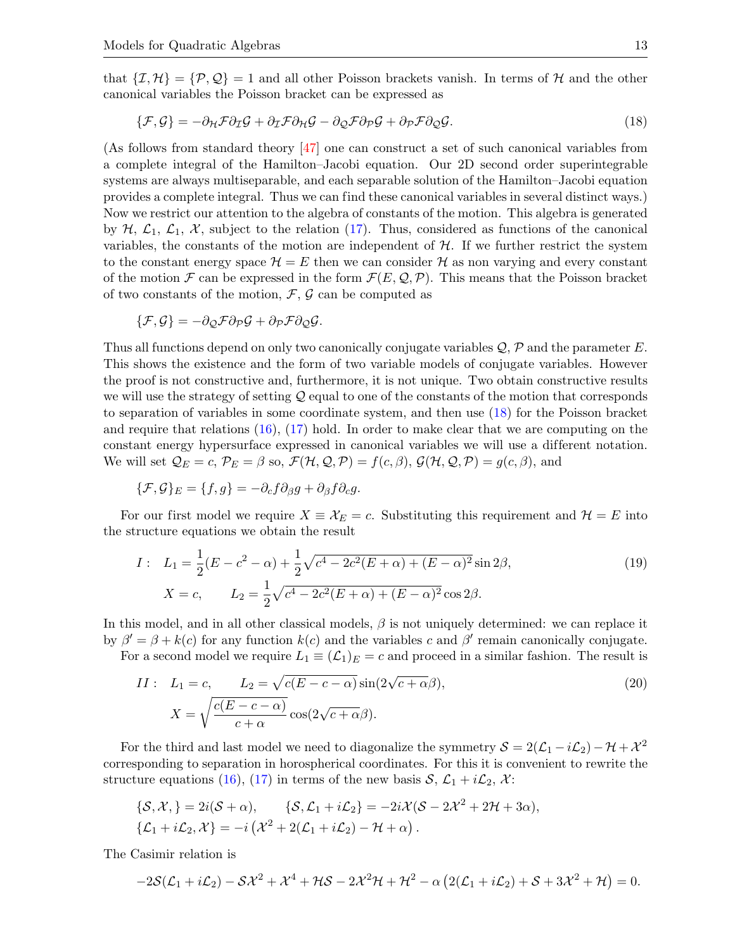that  $\{\mathcal{I},\mathcal{H}\}=\{\mathcal{P},\mathcal{Q}\}=1$  and all other Poisson brackets vanish. In terms of  $\mathcal{H}$  and the other canonical variables the Poisson bracket can be expressed as

<span id="page-12-0"></span>
$$
\{\mathcal{F}, \mathcal{G}\} = -\partial_{\mathcal{H}} \mathcal{F} \partial_{\mathcal{I}} \mathcal{G} + \partial_{\mathcal{I}} \mathcal{F} \partial_{\mathcal{H}} \mathcal{G} - \partial_{\mathcal{Q}} \mathcal{F} \partial_{\mathcal{P}} \mathcal{G} + \partial_{\mathcal{P}} \mathcal{F} \partial_{\mathcal{Q}} \mathcal{G}.
$$
\n(18)

(As follows from standard theory [\[47\]](#page-20-8) one can construct a set of such canonical variables from a complete integral of the Hamilton–Jacobi equation. Our 2D second order superintegrable systems are always multiseparable, and each separable solution of the Hamilton–Jacobi equation provides a complete integral. Thus we can find these canonical variables in several distinct ways.) Now we restrict our attention to the algebra of constants of the motion. This algebra is generated by  $H$ ,  $\mathcal{L}_1$ ,  $\mathcal{L}_1$ ,  $\mathcal{X}$ , subject to the relation [\(17\)](#page-11-1). Thus, considered as functions of the canonical variables, the constants of the motion are independent of  $H$ . If we further restrict the system to the constant energy space  $\mathcal{H} = E$  then we can consider  $\mathcal{H}$  as non varying and every constant of the motion F can be expressed in the form  $\mathcal{F}(E, \mathcal{Q}, \mathcal{P})$ . This means that the Poisson bracket of two constants of the motion,  $\mathcal{F}, \mathcal{G}$  can be computed as

$$
\{\mathcal{F},\mathcal{G}\}=-\partial_{\mathcal{Q}}\mathcal{F}\partial_{\mathcal{P}}\mathcal{G}+\partial_{\mathcal{P}}\mathcal{F}\partial_{\mathcal{Q}}\mathcal{G}.
$$

Thus all functions depend on only two canonically conjugate variables  $\mathcal{Q}, \mathcal{P}$  and the parameter E. This shows the existence and the form of two variable models of conjugate variables. However the proof is not constructive and, furthermore, it is not unique. Two obtain constructive results we will use the strategy of setting  $Q$  equal to one of the constants of the motion that corresponds to separation of variables in some coordinate system, and then use [\(18\)](#page-12-0) for the Poisson bracket and require that relations [\(16\)](#page-11-0), [\(17\)](#page-11-1) hold. In order to make clear that we are computing on the constant energy hypersurface expressed in canonical variables we will use a different notation. We will set  $\mathcal{Q}_E = c$ ,  $\mathcal{P}_E = \beta$  so,  $\mathcal{F}(\mathcal{H}, \mathcal{Q}, \mathcal{P}) = f(c, \beta), \mathcal{G}(\mathcal{H}, \mathcal{Q}, \mathcal{P}) = g(c, \beta),$  and

$$
\{\mathcal{F},\mathcal{G}\}_E = \{f,g\} = -\partial_c f \partial_\beta g + \partial_\beta f \partial_c g.
$$

For our first model we require  $X \equiv \mathcal{X}_E = c$ . Substituting this requirement and  $\mathcal{H} = E$  into the structure equations we obtain the result

<span id="page-12-1"></span>
$$
I: L_1 = \frac{1}{2}(E - c^2 - \alpha) + \frac{1}{2}\sqrt{c^4 - 2c^2(E + \alpha) + (E - \alpha)^2}\sin 2\beta,
$$
  
\n
$$
X = c, L_2 = \frac{1}{2}\sqrt{c^4 - 2c^2(E + \alpha) + (E - \alpha)^2}\cos 2\beta.
$$
 (19)

In this model, and in all other classical models,  $\beta$  is not uniquely determined: we can replace it by  $\beta' = \beta + k(c)$  for any function  $k(c)$  and the variables c and  $\beta'$  remain canonically conjugate.

For a second model we require  $L_1 \equiv (\mathcal{L}_1)_E = c$  and proceed in a similar fashion. The result is

<span id="page-12-2"></span>
$$
II: L_1 = c, L_2 = \sqrt{c(E - c - \alpha)} \sin(2\sqrt{c + \alpha}\beta),
$$
  
\n
$$
X = \sqrt{\frac{c(E - c - \alpha)}{c + \alpha}} \cos(2\sqrt{c + \alpha}\beta).
$$
\n(20)

For the third and last model we need to diagonalize the symmetry  $S = 2(\mathcal{L}_1 - i\mathcal{L}_2) - \mathcal{H} + \mathcal{X}^2$ corresponding to separation in horospherical coordinates. For this it is convenient to rewrite the structure equations [\(16\)](#page-11-0), [\(17\)](#page-11-1) in terms of the new basis  $S, \mathcal{L}_1 + i\mathcal{L}_2, \mathcal{X}$ :

$$
\{\mathcal{S}, \mathcal{X},\} = 2i(\mathcal{S} + \alpha), \qquad \{\mathcal{S}, \mathcal{L}_1 + i\mathcal{L}_2\} = -2i\mathcal{X}(\mathcal{S} - 2\mathcal{X}^2 + 2\mathcal{H} + 3\alpha),
$$
  

$$
\{\mathcal{L}_1 + i\mathcal{L}_2, \mathcal{X}\} = -i(\mathcal{X}^2 + 2(\mathcal{L}_1 + i\mathcal{L}_2) - \mathcal{H} + \alpha).
$$

The Casimir relation is

$$
-2\mathcal{S}(\mathcal{L}_1+i\mathcal{L}_2)-\mathcal{S}\mathcal{X}^2+\mathcal{X}^4+\mathcal{H}\mathcal{S}-2\mathcal{X}^2\mathcal{H}+\mathcal{H}^2-\alpha\left(2(\mathcal{L}_1+i\mathcal{L}_2)+\mathcal{S}+3\mathcal{X}^2+\mathcal{H}\right)=0.
$$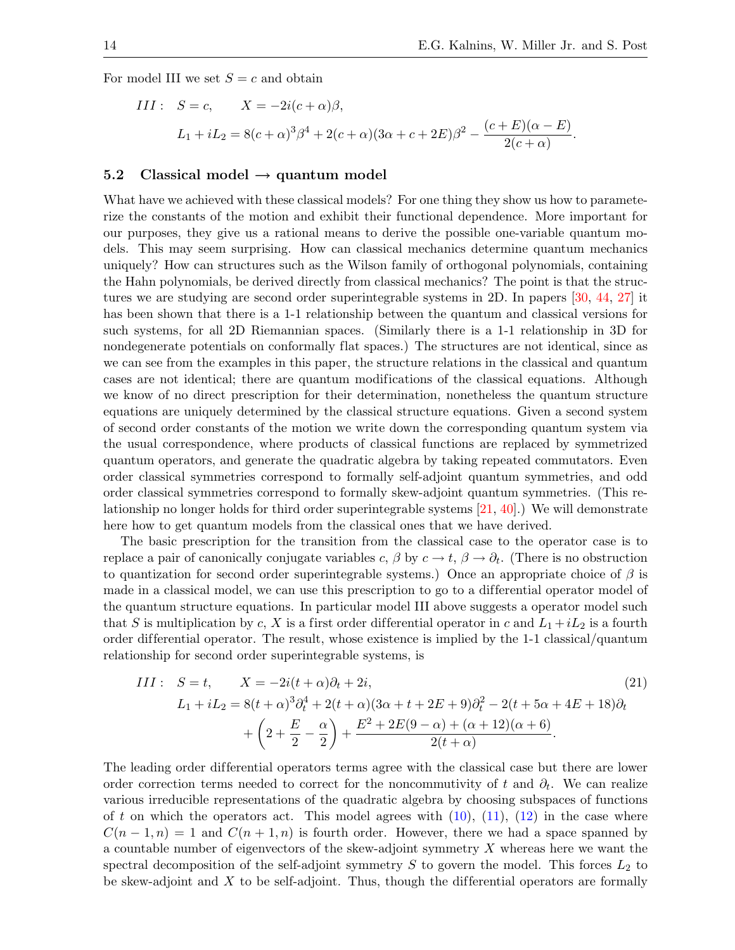For model III we set  $S = c$  and obtain

III: 
$$
S = c
$$
,  $X = -2i(c + \alpha)\beta$ ,  
\n $L_1 + iL_2 = 8(c + \alpha)^3 \beta^4 + 2(c + \alpha)(3\alpha + c + 2E)\beta^2 - \frac{(c + E)(\alpha - E)}{2(c + \alpha)}$ .

## 5.2 Classical model  $\rightarrow$  quantum model

What have we achieved with these classical models? For one thing they show us how to parameterize the constants of the motion and exhibit their functional dependence. More important for our purposes, they give us a rational means to derive the possible one-variable quantum models. This may seem surprising. How can classical mechanics determine quantum mechanics uniquely? How can structures such as the Wilson family of orthogonal polynomials, containing the Hahn polynomials, be derived directly from classical mechanics? The point is that the structures we are studying are second order superintegrable systems in 2D. In papers [\[30,](#page-19-16) [44,](#page-20-5) [27\]](#page-19-13) it has been shown that there is a 1-1 relationship between the quantum and classical versions for such systems, for all 2D Riemannian spaces. (Similarly there is a 1-1 relationship in 3D for nondegenerate potentials on conformally flat spaces.) The structures are not identical, since as we can see from the examples in this paper, the structure relations in the classical and quantum cases are not identical; there are quantum modifications of the classical equations. Although we know of no direct prescription for their determination, nonetheless the quantum structure equations are uniquely determined by the classical structure equations. Given a second system of second order constants of the motion we write down the corresponding quantum system via the usual correspondence, where products of classical functions are replaced by symmetrized quantum operators, and generate the quadratic algebra by taking repeated commutators. Even order classical symmetries correspond to formally self-adjoint quantum symmetries, and odd order classical symmetries correspond to formally skew-adjoint quantum symmetries. (This relationship no longer holds for third order superintegrable systems [\[21,](#page-19-7) [40\]](#page-20-1).) We will demonstrate here how to get quantum models from the classical ones that we have derived.

The basic prescription for the transition from the classical case to the operator case is to replace a pair of canonically conjugate variables  $c, \beta$  by  $c \to t, \beta \to \partial_t$ . (There is no obstruction to quantization for second order superintegrable systems.) Once an appropriate choice of  $\beta$  is made in a classical model, we can use this prescription to go to a differential operator model of the quantum structure equations. In particular model III above suggests a operator model such that S is multiplication by c, X is a first order differential operator in c and  $L_1 + iL_2$  is a fourth order differential operator. The result, whose existence is implied by the 1-1 classical/quantum relationship for second order superintegrable systems, is

<span id="page-13-0"></span>III: 
$$
S = t
$$
,  $X = -2i(t + \alpha)\partial_t + 2i$ , (21)  
\n
$$
L_1 + iL_2 = 8(t + \alpha)^3 \partial_t^4 + 2(t + \alpha)(3\alpha + t + 2E + 9)\partial_t^2 - 2(t + 5\alpha + 4E + 18)\partial_t
$$
\n
$$
+ \left(2 + \frac{E}{2} - \frac{\alpha}{2}\right) + \frac{E^2 + 2E(9 - \alpha) + (\alpha + 12)(\alpha + 6)}{2(t + \alpha)}.
$$

The leading order differential operators terms agree with the classical case but there are lower order correction terms needed to correct for the noncommutivity of t and  $\partial_t$ . We can realize various irreducible representations of the quadratic algebra by choosing subspaces of functions of t on which the operators act. This model agrees with  $(10)$ ,  $(11)$ ,  $(12)$  in the case where  $C(n-1,n) = 1$  and  $C(n+1,n)$  is fourth order. However, there we had a space spanned by a countable number of eigenvectors of the skew-adjoint symmetry X whereas here we want the spectral decomposition of the self-adjoint symmetry  $S$  to govern the model. This forces  $L_2$  to be skew-adjoint and  $X$  to be self-adjoint. Thus, though the differential operators are formally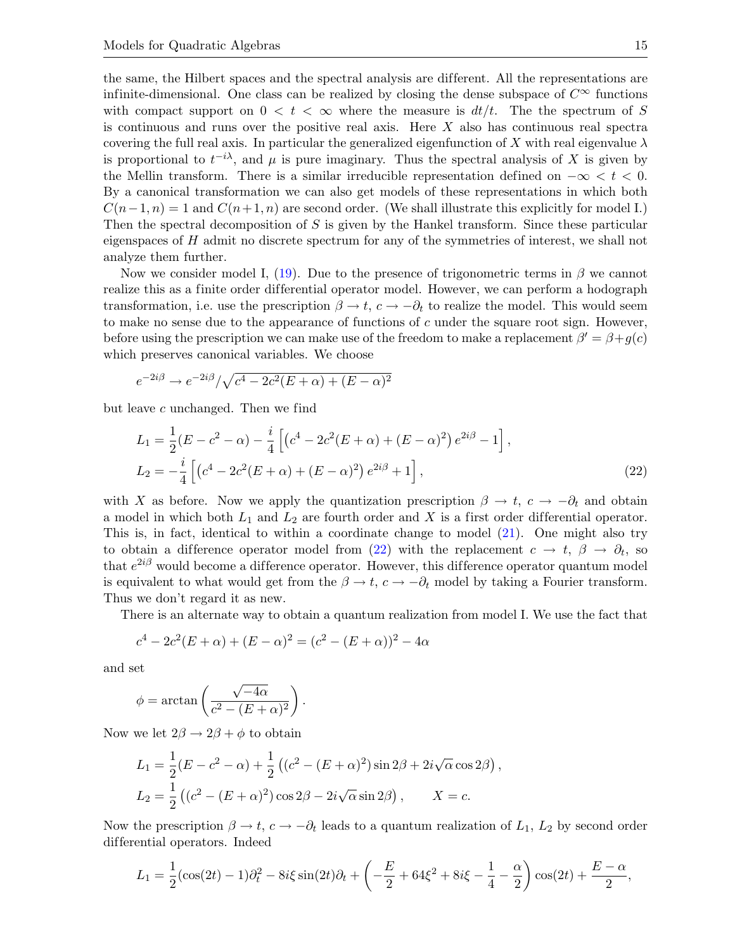the same, the Hilbert spaces and the spectral analysis are dif ferent. All the representations are infinite-dimensional. One class can be realized by closing the dense subspace of  $C^{\infty}$  functions with compact support on  $0 < t < \infty$  where the measure is  $dt/t$ . The the spectrum of S is continuous and runs over the positive real axis. Here  $X$  also has continuous real spectra covering the full real axis. In particular the generalized eigenfunction of X with real eigenvalue  $\lambda$ is proportional to  $t^{-i\lambda}$ , and  $\mu$  is pure imaginary. Thus the spectral analysis of X is given by the Mellin transform. There is a similar irreducible representation defined on  $-\infty < t < 0$ . By a canonical transformation we can also get models of these representations in which both  $C(n-1, n) = 1$  and  $C(n+1, n)$  are second order. (We shall illustrate this explicitly for model I.) Then the spectral decomposition of  $S$  is given by the Hankel transform. Since these particular eigenspaces of  $H$  admit no discrete spectrum for any of the symmetries of interest, we shall not analyze them further.

Now we consider model I, [\(19\)](#page-12-1). Due to the presence of trigonometric terms in  $\beta$  we cannot realize this as a finite order differential operator model. However, we can perform a hodograph transformation, i.e. use the prescription  $\beta \to t$ ,  $c \to -\partial_t$  to realize the model. This would seem to make no sense due to the appearance of functions of  $c$  under the square root sign. However, before using the prescription we can make use of the freedom to make a replacement  $\beta' = \beta + g(c)$ which preserves canonical variables. We choose

$$
e^{-2i\beta} \to e^{-2i\beta} / \sqrt{c^4 - 2c^2(E + \alpha) + (E - \alpha)^2}
$$

but leave c unchanged. Then we find

$$
L_1 = \frac{1}{2}(E - c^2 - \alpha) - \frac{i}{4} \left[ \left( c^4 - 2c^2(E + \alpha) + (E - \alpha)^2 \right) e^{2i\beta} - 1 \right],
$$
  
\n
$$
L_2 = -\frac{i}{4} \left[ \left( c^4 - 2c^2(E + \alpha) + (E - \alpha)^2 \right) e^{2i\beta} + 1 \right],
$$
\n(22)

with X as before. Now we apply the quantization prescription  $\beta \to t$ ,  $c \to -\partial_t$  and obtain a model in which both  $L_1$  and  $L_2$  are fourth order and X is a first order differential operator. This is, in fact, identical to within a coordinate change to model [\(21\)](#page-13-0). One might also try to obtain a difference operator model from [\(22\)](#page-14-0) with the replacement  $c \to t$ ,  $\beta \to \partial_t$ , so that  $e^{2i\beta}$  would become a difference operator. However, this difference operator quantum model is equivalent to what would get from the  $\beta \to t$ ,  $c \to -\partial_t$  model by taking a Fourier transform. Thus we don't regard it as new.

There is an alternate way to obtain a quantum realization from model I. We use the fact that

$$
c4 - 2c2(E + \alpha) + (E - \alpha)2 = (c2 - (E + \alpha))2 - 4\alpha
$$

and set

$$
\phi = \arctan\left(\frac{\sqrt{-4\alpha}}{c^2 - (E + \alpha)^2}\right).
$$

Now we let  $2\beta \rightarrow 2\beta + \phi$  to obtain

$$
L_1 = \frac{1}{2}(E - c^2 - \alpha) + \frac{1}{2}((c^2 - (E + \alpha)^2)\sin 2\beta + 2i\sqrt{\alpha}\cos 2\beta)
$$
  
\n
$$
L_2 = \frac{1}{2}((c^2 - (E + \alpha)^2)\cos 2\beta - 2i\sqrt{\alpha}\sin 2\beta), \qquad X = c.
$$

Now the prescription  $\beta \to t$ ,  $c \to -\partial_t$  leads to a quantum realization of  $L_1$ ,  $L_2$  by second order dif ferential operators. Indeed

<span id="page-14-0"></span>,

$$
L_1 = \frac{1}{2}(\cos(2t) - 1)\partial_t^2 - 8i\xi\sin(2t)\partial_t + \left(-\frac{E}{2} + 64\xi^2 + 8i\xi - \frac{1}{4} - \frac{\alpha}{2}\right)\cos(2t) + \frac{E - \alpha}{2},
$$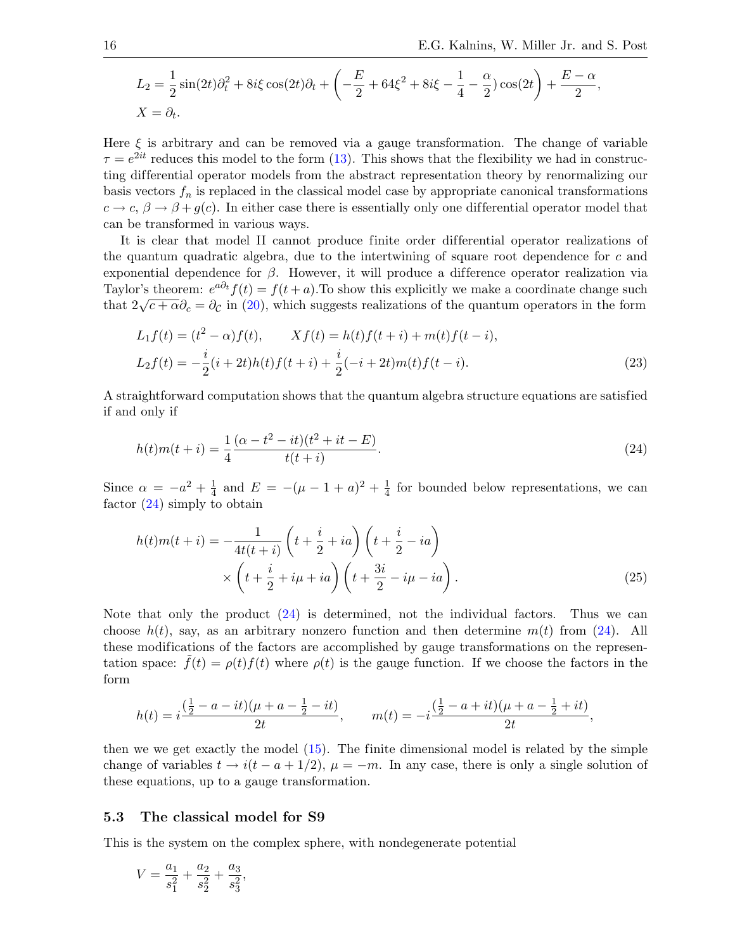$$
L_2 = \frac{1}{2}\sin(2t)\partial_t^2 + 8i\xi\cos(2t)\partial_t + \left(-\frac{E}{2} + 64\xi^2 + 8i\xi - \frac{1}{4} - \frac{\alpha}{2}\right)\cos(2t) + \frac{E - \alpha}{2},
$$
  

$$
X = \partial_t.
$$

Here  $\xi$  is arbitrary and can be removed via a gauge transformation. The change of variable  $\tau = e^{2it}$  reduces this model to the form [\(13\)](#page-6-1). This shows that the flexibility we had in constructing dif ferential operator models from the abstract representation theory by renormalizing our basis vectors  $f_n$  is replaced in the classical model case by appropriate canonical transformations  $c \to c, \beta \to \beta + g(c)$ . In either case there is essentially only one differential operator model that can be transformed in various ways.

It is clear that model II cannot produce finite order differential operator realizations of the quantum quadratic algebra, due to the intertwining of square root dependence for  $c$  and exponential dependence for  $\beta$ . However, it will produce a difference operator realization via Taylor's theorem:  $e^{a\partial_t} f(t) = f(t+a)$ . To show this explicitly we make a coordinate change such tay for s theorem.  $e^{-t} f(t) = f(t + a)$ . To show this explicitly we make a coordinate change such that  $2\sqrt{c + \alpha} \partial_c = \partial_c$  in [\(20\)](#page-12-2), which suggests realizations of the quantum operators in the form

<span id="page-15-1"></span>
$$
L_1 f(t) = (t^2 - \alpha) f(t), \qquad X f(t) = h(t) f(t + i) + m(t) f(t - i),
$$
  
\n
$$
L_2 f(t) = -\frac{i}{2} (i + 2t) h(t) f(t + i) + \frac{i}{2} (-i + 2t) m(t) f(t - i).
$$
\n(23)

A straightforward computation shows that the quantum algebra structure equations are satisfied if and only if

<span id="page-15-0"></span>
$$
h(t)m(t+i) = \frac{1}{4} \frac{(\alpha - t^2 - it)(t^2 + it - E)}{t(t+i)}.
$$
\n(24)

Since  $\alpha = -a^2 + \frac{1}{4}$  $\frac{1}{4}$  and  $E = -(\mu - 1 + a)^2 + \frac{1}{4}$  $\frac{1}{4}$  for bounded below representations, we can factor [\(24\)](#page-15-0) simply to obtain

<span id="page-15-2"></span>
$$
h(t)m(t+i) = -\frac{1}{4t(t+i)} \left( t + \frac{i}{2} + ia \right) \left( t + \frac{i}{2} - ia \right)
$$
  
 
$$
\times \left( t + \frac{i}{2} + i\mu + ia \right) \left( t + \frac{3i}{2} - i\mu - ia \right).
$$
 (25)

Note that only the product [\(24\)](#page-15-0) is determined, not the individual factors. Thus we can choose  $h(t)$ , say, as an arbitrary nonzero function and then determine  $m(t)$  from [\(24\)](#page-15-0). All these modifications of the factors are accomplished by gauge transformations on the representation space:  $f(t) = \rho(t) f(t)$  where  $\rho(t)$  is the gauge function. If we choose the factors in the form

$$
h(t) = i\frac{\left(\frac{1}{2} - a - it\right)(\mu + a - \frac{1}{2} - it)}{2t}, \qquad m(t) = -i\frac{\left(\frac{1}{2} - a + it\right)(\mu + a - \frac{1}{2} + it)}{2t},
$$

then we we get exactly the model [\(15\)](#page-9-0). The finite dimensional model is related by the simple change of variables  $t \to i(t-a+1/2)$ ,  $\mu = -m$ . In any case, there is only a single solution of these equations, up to a gauge transformation.

#### 5.3 The classical model for S9

This is the system on the complex sphere, with nondegenerate potential

$$
V = \frac{a_1}{s_1^2} + \frac{a_2}{s_2^2} + \frac{a_3}{s_3^2},
$$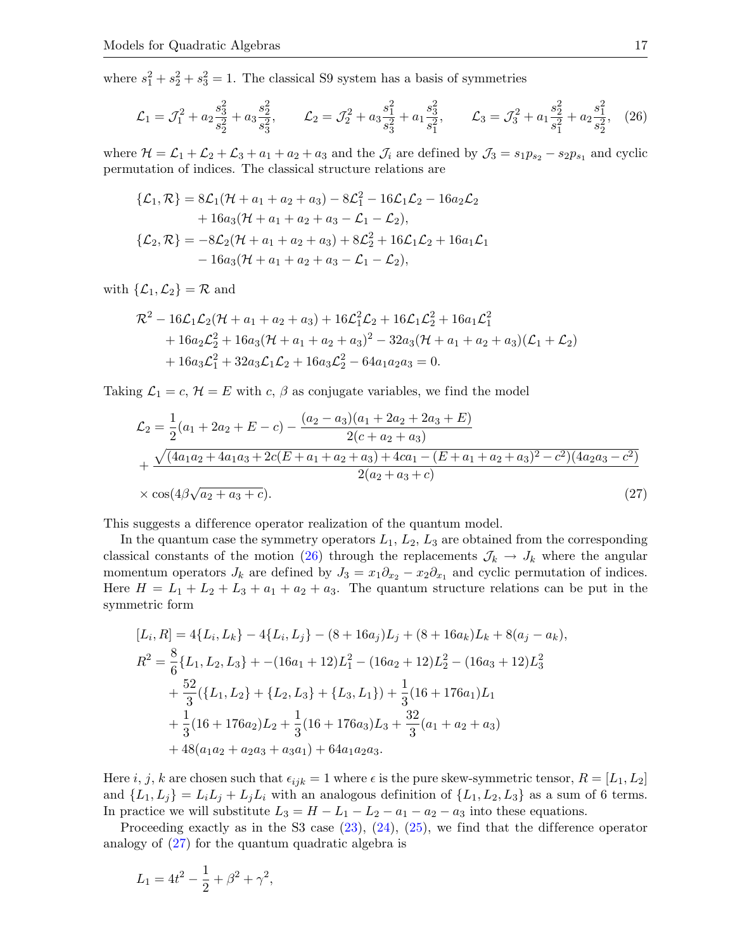where  $s_1^2 + s_2^2 + s_3^2 = 1$ . The classical S9 system has a basis of symmetries

<span id="page-16-0"></span>
$$
\mathcal{L}_1 = \mathcal{J}_1^2 + a_2 \frac{s_3^2}{s_2^2} + a_3 \frac{s_2^2}{s_3^2}, \qquad \mathcal{L}_2 = \mathcal{J}_2^2 + a_3 \frac{s_1^2}{s_3^2} + a_1 \frac{s_3^2}{s_1^2}, \qquad \mathcal{L}_3 = \mathcal{J}_3^2 + a_1 \frac{s_2^2}{s_1^2} + a_2 \frac{s_1^2}{s_2^2}, \tag{26}
$$

where  $\mathcal{H} = \mathcal{L}_1 + \mathcal{L}_2 + \mathcal{L}_3 + a_1 + a_2 + a_3$  and the  $\mathcal{J}_i$  are defined by  $\mathcal{J}_3 = s_1 p_{s_2} - s_2 p_{s_1}$  and cyclic permutation of indices. The classical structure relations are

$$
\{\mathcal{L}_1, \mathcal{R}\} = 8\mathcal{L}_1(\mathcal{H} + a_1 + a_2 + a_3) - 8\mathcal{L}_1^2 - 16\mathcal{L}_1\mathcal{L}_2 - 16a_2\mathcal{L}_2 \n+ 16a_3(\mathcal{H} + a_1 + a_2 + a_3 - \mathcal{L}_1 - \mathcal{L}_2),\n\{\mathcal{L}_2, \mathcal{R}\} = -8\mathcal{L}_2(\mathcal{H} + a_1 + a_2 + a_3) + 8\mathcal{L}_2^2 + 16\mathcal{L}_1\mathcal{L}_2 + 16a_1\mathcal{L}_1\n- 16a_3(\mathcal{H} + a_1 + a_2 + a_3 - \mathcal{L}_1 - \mathcal{L}_2),
$$

with  $\{\mathcal{L}_1,\mathcal{L}_2\} = \mathcal{R}$  and

$$
\mathcal{R}^{2} - 16\mathcal{L}_{1}\mathcal{L}_{2}(\mathcal{H} + a_{1} + a_{2} + a_{3}) + 16\mathcal{L}_{1}^{2}\mathcal{L}_{2} + 16\mathcal{L}_{1}\mathcal{L}_{2}^{2} + 16a_{1}\mathcal{L}_{1}^{2}
$$
  
+  $16a_{2}\mathcal{L}_{2}^{2} + 16a_{3}(\mathcal{H} + a_{1} + a_{2} + a_{3})^{2} - 32a_{3}(\mathcal{H} + a_{1} + a_{2} + a_{3})(\mathcal{L}_{1} + \mathcal{L}_{2})$   
+  $16a_{3}\mathcal{L}_{1}^{2} + 32a_{3}\mathcal{L}_{1}\mathcal{L}_{2} + 16a_{3}\mathcal{L}_{2}^{2} - 64a_{1}a_{2}a_{3} = 0.$ 

Taking  $\mathcal{L}_1 = c$ ,  $\mathcal{H} = E$  with c,  $\beta$  as conjugate variables, we find the model

<span id="page-16-1"></span>
$$
\mathcal{L}_2 = \frac{1}{2}(a_1 + 2a_2 + E - c) - \frac{(a_2 - a_3)(a_1 + 2a_2 + 2a_3 + E)}{2(c + a_2 + a_3)} \n+ \frac{\sqrt{(4a_1a_2 + 4a_1a_3 + 2c(E + a_1 + a_2 + a_3) + 4ca_1 - (E + a_1 + a_2 + a_3)^2 - c^2)(4a_2a_3 - c^2)}}{2(a_2 + a_3 + c)} \n\times \cos(4\beta\sqrt{a_2 + a_3 + c}).
$$
\n(27)

This suggests a difference operator realization of the quantum model.

In the quantum case the symmetry operators  $L_1$ ,  $L_2$ ,  $L_3$  are obtained from the corresponding classical constants of the motion [\(26\)](#page-16-0) through the replacements  $\mathcal{J}_k \to \mathcal{J}_k$  where the angular momentum operators  $J_k$  are defined by  $J_3 = x_1 \partial_{x_2} - x_2 \partial_{x_1}$  and cyclic permutation of indices. Here  $H = L_1 + L_2 + L_3 + a_1 + a_2 + a_3$ . The quantum structure relations can be put in the symmetric form

$$
[L_i, R] = 4\{L_i, L_k\} - 4\{L_i, L_j\} - (8 + 16a_j)L_j + (8 + 16a_k)L_k + 8(a_j - a_k),
$$
  
\n
$$
R^2 = \frac{8}{6}\{L_1, L_2, L_3\} + -(16a_1 + 12)L_1^2 - (16a_2 + 12)L_2^2 - (16a_3 + 12)L_3^2
$$
  
\n
$$
+ \frac{52}{3}(\{L_1, L_2\} + \{L_2, L_3\} + \{L_3, L_1\}) + \frac{1}{3}(16 + 176a_1)L_1
$$
  
\n
$$
+ \frac{1}{3}(16 + 176a_2)L_2 + \frac{1}{3}(16 + 176a_3)L_3 + \frac{32}{3}(a_1 + a_2 + a_3)
$$
  
\n
$$
+ 48(a_1a_2 + a_2a_3 + a_3a_1) + 64a_1a_2a_3.
$$

Here i, j, k are chosen such that  $\epsilon_{ijk} = 1$  where  $\epsilon$  is the pure skew-symmetric tensor,  $R = [L_1, L_2]$ and  $\{L_1, L_j\} = L_i L_j + L_j L_i$  with an analogous definition of  $\{L_1, L_2, L_3\}$  as a sum of 6 terms. In practice we will substitute  $L_3 = H - L_1 - L_2 - a_1 - a_2 - a_3$  into these equations.

Proceeding exactly as in the S3 case  $(23)$ ,  $(24)$ ,  $(25)$ , we find that the difference operator analogy of [\(27\)](#page-16-1) for the quantum quadratic algebra is

$$
L_1 = 4t^2 - \frac{1}{2} + \beta^2 + \gamma^2,
$$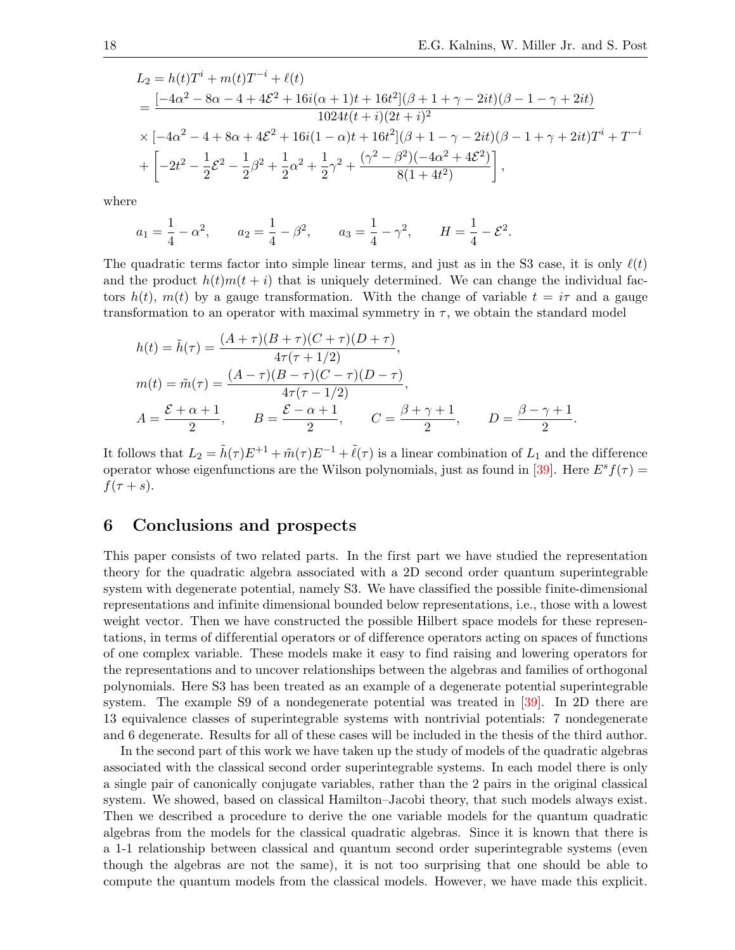$$
L_2 = h(t)T^i + m(t)T^{-i} + \ell(t)
$$
  
= 
$$
\frac{[-4\alpha^2 - 8\alpha - 4 + 4\mathcal{E}^2 + 16i(\alpha + 1)t + 16t^2](\beta + 1 + \gamma - 2it)(\beta - 1 - \gamma + 2it)}{1024t(t + i)(2t + i)^2}
$$
  

$$
\times [-4\alpha^2 - 4 + 8\alpha + 4\mathcal{E}^2 + 16i(1 - \alpha)t + 16t^2](\beta + 1 - \gamma - 2it)(\beta - 1 + \gamma + 2it)T^i + T^{-i}
$$
  
+ 
$$
\left[ -2t^2 - \frac{1}{2}\mathcal{E}^2 - \frac{1}{2}\beta^2 + \frac{1}{2}\alpha^2 + \frac{1}{2}\gamma^2 + \frac{(\gamma^2 - \beta^2)(-4\alpha^2 + 4\mathcal{E}^2)}{8(1 + 4t^2)} \right],
$$

where

$$
a_1 = \frac{1}{4} - \alpha^2
$$
,  $a_2 = \frac{1}{4} - \beta^2$ ,  $a_3 = \frac{1}{4} - \gamma^2$ ,  $H = \frac{1}{4} - \mathcal{E}^2$ .

The quadratic terms factor into simple linear terms, and just as in the S3 case, it is only  $\ell(t)$ and the product  $h(t)m(t + i)$  that is uniquely determined. We can change the individual factors  $h(t)$ ,  $m(t)$  by a gauge transformation. With the change of variable  $t = i\tau$  and a gauge transformation to an operator with maximal symmetry in  $\tau$ , we obtain the standard model

$$
h(t) = \tilde{h}(\tau) = \frac{(A + \tau)(B + \tau)(C + \tau)(D + \tau)}{4\tau(\tau + 1/2)},
$$
  
\n
$$
m(t) = \tilde{m}(\tau) = \frac{(A - \tau)(B - \tau)(C - \tau)(D - \tau)}{4\tau(\tau - 1/2)},
$$
  
\n
$$
A = \frac{\mathcal{E} + \alpha + 1}{2}, \qquad B = \frac{\mathcal{E} - \alpha + 1}{2}, \qquad C = \frac{\beta + \gamma + 1}{2}, \qquad D = \frac{\beta - \gamma + 1}{2}.
$$

It follows that  $L_2 = \tilde{h}(\tau)E^{+1} + \tilde{m}(\tau)E^{-1} + \tilde{\ell}(\tau)$  is a linear combination of  $L_1$  and the difference operator whose eigenfunctions are the Wilson polynomials, just as found in [\[39\]](#page-20-0). Here  $E^s f(\tau)$  =  $f(\tau + s)$ .

### 6 Conclusions and prospects

This paper consists of two related parts. In the first part we have studied the representation theory for the quadratic algebra associated with a 2D second order quantum superintegrable system with degenerate potential, namely S3. We have classified the possible finite-dimensional representations and infinite dimensional bounded below representations, i.e., those with a lowest weight vector. Then we have constructed the possible Hilbert space models for these representations, in terms of dif ferential operators or of dif ference operators acting on spaces of functions of one complex variable. These models make it easy to find raising and lowering operators for the representations and to uncover relationships between the algebras and families of orthogonal polynomials. Here S3 has been treated as an example of a degenerate potential superintegrable system. The example S9 of a nondegenerate potential was treated in [\[39\]](#page-20-0). In 2D there are 13 equivalence classes of superintegrable systems with nontrivial potentials: 7 nondegenerate and 6 degenerate. Results for all of these cases will be included in the thesis of the third author.

In the second part of this work we have taken up the study of models of the quadratic algebras associated with the classical second order superintegrable systems. In each model there is only a single pair of canonically conjugate variables, rather than the 2 pairs in the original classical system. We showed, based on classical Hamilton–Jacobi theory, that such models always exist. Then we described a procedure to derive the one variable models for the quantum quadratic algebras from the models for the classical quadratic algebras. Since it is known that there is a 1-1 relationship between classical and quantum second order superintegrable systems (even though the algebras are not the same), it is not too surprising that one should be able to compute the quantum models from the classical models. However, we have made this explicit.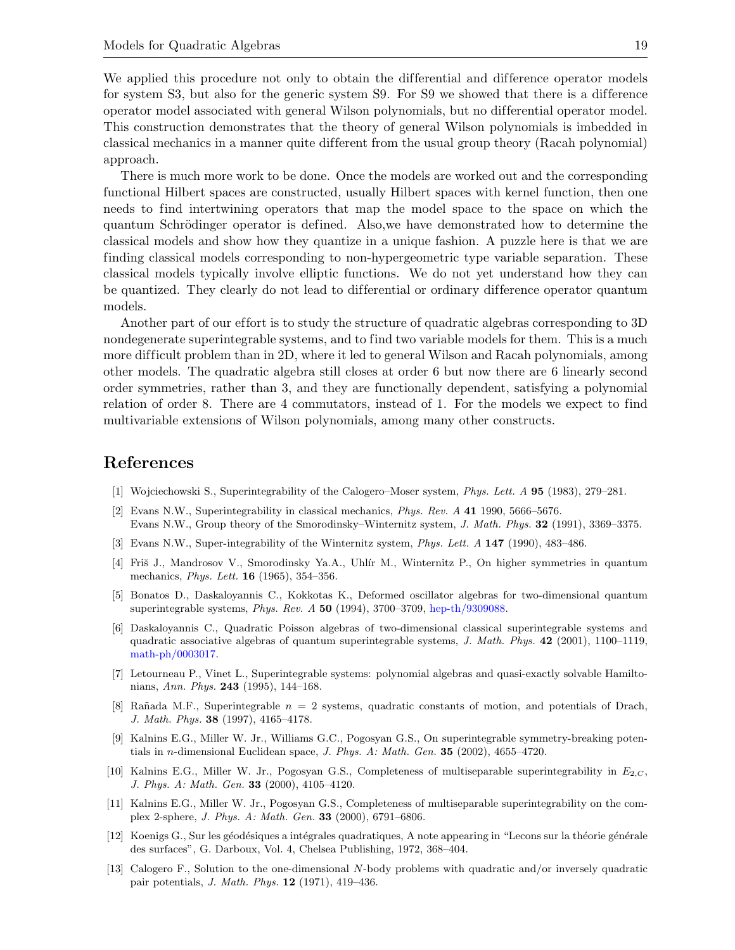We applied this procedure not only to obtain the differential and difference operator models for system S3, but also for the generic system S9. For S9 we showed that there is a difference operator model associated with general Wilson polynomials, but no dif ferential operator model. This construction demonstrates that the theory of general Wilson polynomials is imbedded in classical mechanics in a manner quite dif ferent from the usual group theory (Racah polynomial) approach.

There is much more work to be done. Once the models are worked out and the corresponding functional Hilbert spaces are constructed, usually Hilbert spaces with kernel function, then one needs to find intertwining operators that map the model space to the space on which the quantum Schrödinger operator is defined. Also, we have demonstrated how to determine the classical models and show how they quantize in a unique fashion. A puzzle here is that we are finding classical models corresponding to non-hypergeometric type variable separation. These classical models typically involve elliptic functions. We do not yet understand how they can be quantized. They clearly do not lead to differential or ordinary difference operator quantum models.

Another part of our effort is to study the structure of quadratic algebras corresponding to 3D nondegenerate superintegrable systems, and to find two variable models for them. This is a much more difficult problem than in 2D, where it led to general Wilson and Racah polynomials, among other models. The quadratic algebra still closes at order 6 but now there are 6 linearly second order symmetries, rather than 3, and they are functionally dependent, satisfying a polynomial relation of order 8. There are 4 commutators, instead of 1. For the models we expect to find multivariable extensions of Wilson polynomials, among many other constructs.

## References

- <span id="page-18-0"></span>[1] Wojciechowski S., Superintegrability of the Calogero–Moser system, Phys. Lett. A 95 (1983), 279–281.
- <span id="page-18-1"></span>[2] Evans N.W., Superintegrability in classical mechanics, Phys. Rev. A 41 1990, 5666–5676. Evans N.W., Group theory of the Smorodinsky–Winternitz system, J. Math. Phys. 32 (1991), 3369–3375.
- <span id="page-18-2"></span>[3] Evans N.W., Super-integrability of the Winternitz system, Phys. Lett. A 147 (1990), 483–486.
- <span id="page-18-3"></span>[4] Fris J., Mandrosov V., Smorodinsky Ya.A., Uhlír M., Winternitz P., On higher symmetries in quantum mechanics, Phys. Lett. 16 (1965), 354–356.
- <span id="page-18-4"></span>[5] Bonatos D., Daskaloyannis C., Kokkotas K., Deformed oscillator algebras for two-dimensional quantum superintegrable systems, Phys. Rev. A 50 (1994), 3700–3709, [hep-th/9309088.](http://arxiv.org/abs/hep-th/9309088)
- <span id="page-18-5"></span>[6] Daskaloyannis C., Quadratic Poisson algebras of two-dimensional classical superintegrable systems and quadratic associative algebras of quantum superintegrable systems, J. Math. Phys. 42 (2001), 1100–1119, [math-ph/0003017.](http://arxiv.org/abs/math-ph/0003017)
- <span id="page-18-6"></span>[7] Letourneau P., Vinet L., Superintegrable systems: polynomial algebras and quasi-exactly solvable Hamiltonians, Ann. Phys. 243 (1995), 144–168.
- <span id="page-18-7"></span>[8] Rañada M.F., Superintegrable  $n = 2$  systems, quadratic constants of motion, and potentials of Drach, J. Math. Phys. 38 (1997), 4165–4178.
- <span id="page-18-8"></span>[9] Kalnins E.G., Miller W. Jr., Williams G.C., Pogosyan G.S., On superintegrable symmetry-breaking potentials in n-dimensional Euclidean space, J. Phys. A: Math. Gen. 35 (2002), 4655–4720.
- <span id="page-18-9"></span>[10] Kalnins E.G., Miller W. Jr., Pogosyan G.S., Completeness of multiseparable superintegrability in  $E_{2,C}$ , J. Phys. A: Math. Gen. 33 (2000), 4105–4120.
- <span id="page-18-10"></span>[11] Kalnins E.G., Miller W. Jr., Pogosyan G.S., Completeness of multiseparable superintegrability on the complex 2-sphere, J. Phys. A: Math. Gen. 33 (2000), 6791–6806.
- <span id="page-18-11"></span>[12] Koenigs G., Sur les géodésiques a intégrales quadratiques, A note appearing in "Lecons sur la théorie générale des surfaces", G. Darboux, Vol. 4, Chelsea Publishing, 1972, 368–404.
- <span id="page-18-12"></span>[13] Calogero F., Solution to the one-dimensional N-body problems with quadratic and/or inversely quadratic pair potentials, J. Math. Phys. 12 (1971), 419–436.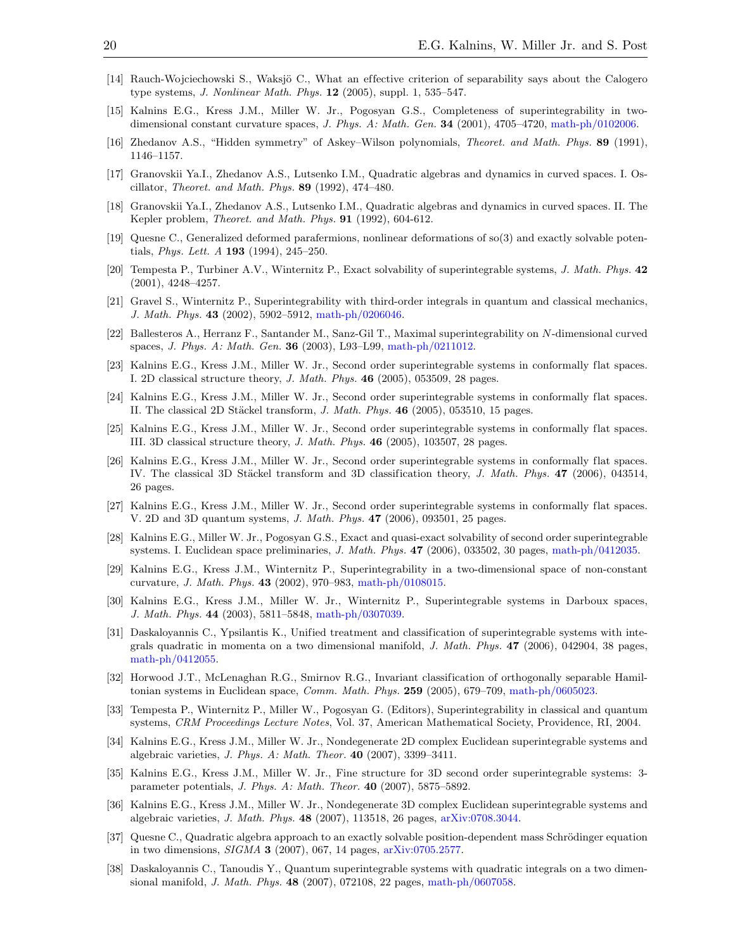- <span id="page-19-0"></span>[14] Rauch-Wojciechowski S., Waksjö C., What an effective criterion of separability says about the Calogero type systems, J. Nonlinear Math. Phys. 12 (2005), suppl. 1, 535–547.
- <span id="page-19-1"></span>[15] Kalnins E.G., Kress J.M., Miller W. Jr., Pogosyan G.S., Completeness of superintegrability in twodimensional constant curvature spaces, J. Phys. A: Math. Gen. 34 (2001), 4705-4720, [math-ph/0102006.](http://arxiv.org/abs/math-ph/0102006)
- <span id="page-19-2"></span>[16] Zhedanov A.S., "Hidden symmetry" of Askey–Wilson polynomials, Theoret. and Math. Phys. 89 (1991), 1146–1157.
- <span id="page-19-3"></span>[17] Granovskii Ya.I., Zhedanov A.S., Lutsenko I.M., Quadratic algebras and dynamics in curved spaces. I. Oscillator, Theoret. and Math. Phys. 89 (1992), 474–480.
- <span id="page-19-4"></span>[18] Granovskii Ya.I., Zhedanov A.S., Lutsenko I.M., Quadratic algebras and dynamics in curved spaces. II. The Kepler problem, Theoret. and Math. Phys. 91 (1992), 604-612.
- <span id="page-19-5"></span>[19] Quesne C., Generalized deformed parafermions, nonlinear deformations of so(3) and exactly solvable potentials, *Phys. Lett.*  $A$  **193** (1994), 245–250.
- <span id="page-19-6"></span>[20] Tempesta P., Turbiner A.V., Winternitz P., Exact solvability of superintegrable systems, J. Math. Phys. 42  $(2001), 4248 - 4257.$
- <span id="page-19-7"></span>[21] Gravel S., Winternitz P., Superintegrability with third-order integrals in quantum and classical mechanics, J. Math. Phys. 43 (2002), 5902–5912, [math-ph/0206046.](http://arxiv.org/abs/math-ph/0206046)
- <span id="page-19-8"></span>[22] Ballesteros A., Herranz F., Santander M., Sanz-Gil T., Maximal superintegrability on N-dimensional curved spaces, J. Phys. A: Math. Gen. 36 (2003), L93–L99, [math-ph/0211012.](http://arxiv.org/abs/math-ph/0211012)
- <span id="page-19-9"></span>[23] Kalnins E.G., Kress J.M., Miller W. Jr., Second order superintegrable systems in conformally flat spaces. I. 2D classical structure theory, J. Math. Phys. 46 (2005), 053509, 28 pages.
- <span id="page-19-10"></span>[24] Kalnins E.G., Kress J.M., Miller W. Jr., Second order superintegrable systems in conformally flat spaces. II. The classical 2D Stäckel transform, J. Math. Phys.  $46$  (2005), 053510, 15 pages.
- <span id="page-19-11"></span>[25] Kalnins E.G., Kress J.M., Miller W. Jr., Second order superintegrable systems in conformally flat spaces. III. 3D classical structure theory, J. Math. Phys. 46 (2005), 103507, 28 pages.
- <span id="page-19-12"></span>[26] Kalnins E.G., Kress J.M., Miller W. Jr., Second order superintegrable systems in conformally flat spaces. IV. The classical 3D Stäckel transform and 3D classification theory, J. Math. Phys. 47 (2006), 043514, 26 pages.
- <span id="page-19-13"></span>[27] Kalnins E.G., Kress J.M., Miller W. Jr., Second order superintegrable systems in conformally flat spaces. V. 2D and 3D quantum systems, J. Math. Phys. 47 (2006), 093501, 25 pages.
- <span id="page-19-14"></span>[28] Kalnins E.G., Miller W. Jr., Pogosyan G.S., Exact and quasi-exact solvability of second order superintegrable systems. I. Euclidean space preliminaries, J. Math. Phys. 47 (2006), 033502, 30 pages, [math-ph/0412035.](http://arxiv.org/abs/math-ph/0412035)
- <span id="page-19-15"></span>[29] Kalnins E.G., Kress J.M., Winternitz P., Superintegrability in a two-dimensional space of non-constant curvature, J. Math. Phys. 43 (2002), 970–983, [math-ph/0108015.](http://arxiv.org/abs/math-ph/0108015)
- <span id="page-19-16"></span>[30] Kalnins E.G., Kress J.M., Miller W. Jr., Winternitz P., Superintegrable systems in Darboux spaces, J. Math. Phys. 44 (2003), 5811–5848, [math-ph/0307039.](http://arxiv.org/abs/math-ph/0307039)
- <span id="page-19-17"></span>[31] Daskaloyannis C., Ypsilantis K., Unified treatment and classification of superintegrable systems with integrals quadratic in momenta on a two dimensional manifold, J. Math. Phys. 47 (2006), 042904, 38 pages, [math-ph/0412055.](http://arxiv.org/abs/math-ph/0412055)
- <span id="page-19-18"></span>[32] Horwood J.T., McLenaghan R.G., Smirnov R.G., Invariant classification of orthogonally separable Hamiltonian systems in Euclidean space, Comm. Math. Phys. 259 (2005), 679-709, [math-ph/0605023.](http://arxiv.org/abs/math-ph/0605023)
- <span id="page-19-19"></span>[33] Tempesta P., Winternitz P., Miller W., Pogosyan G. (Editors), Superintegrability in classical and quantum systems, CRM Proceedings Lecture Notes, Vol. 37, American Mathematical Society, Providence, RI, 2004.
- <span id="page-19-20"></span>[34] Kalnins E.G., Kress J.M., Miller W. Jr., Nondegenerate 2D complex Euclidean superintegrable systems and algebraic varieties, J. Phys. A: Math. Theor. 40 (2007), 3399–3411.
- <span id="page-19-21"></span>[35] Kalnins E.G., Kress J.M., Miller W. Jr., Fine structure for 3D second order superintegrable systems: 3 parameter potentials, J. Phys. A: Math. Theor. 40 (2007), 5875–5892.
- <span id="page-19-22"></span>[36] Kalnins E.G., Kress J.M., Miller W. Jr., Nondegenerate 3D complex Euclidean superintegrable systems and algebraic varieties, J. Math. Phys. 48 (2007), 113518, 26 pages, [arXiv:0708.3044.](http://arxiv.org/abs/0708.3044)
- <span id="page-19-23"></span>[37] Quesne C., Quadratic algebra approach to an exactly solvable position-dependent mass Schrödinger equation in two dimensions, SIGMA 3 (2007), 067, 14 pages, [arXiv:0705.2577.](http://arxiv.org/abs/0705.2577)
- <span id="page-19-24"></span>[38] Daskaloyannis C., Tanoudis Y., Quantum superintegrable systems with quadratic integrals on a two dimensional manifold, J. Math. Phys. 48 (2007), 072108, 22 pages, [math-ph/0607058.](http://arxiv.org/abs/math-ph/0607058)